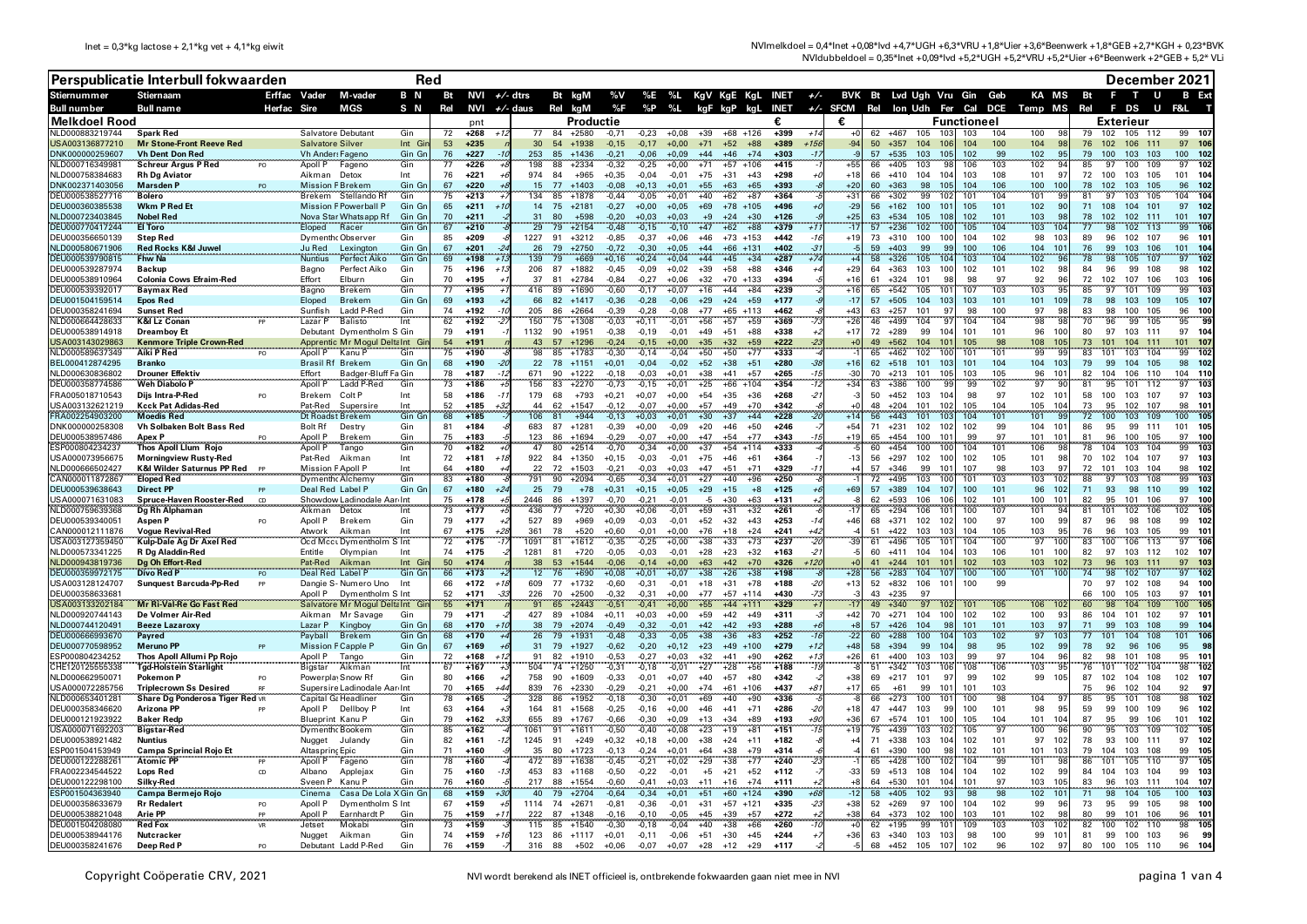NVImelkdoel = 0,4\*lnet +0,08\*lvd +4,7\*UGH +6,3\*VRU +1,8\*Uier +3,6\*Beenwerk +1,8\*GEB +2,7\*KGH + 0,23\*BVK NVIdubbeldoel = 0,35\*lnet +0,09\*lvd +5,2\*UGH +5,2\*VRU +5,2\*Uier +6\*Beenwerk +2\*GEB + 5,2\* VLi

|                                    | Perspublicatie Interbull fokwaarden                  |                |                                           | <b>Red</b>                                                 |                     |          |                        |                 |                                   |                        |                    |                    |                    |                                  |                       |                  | December 2021 |                                  |                   |                                    |                        |                            |            |                                                 |          |                                             |                                              |
|------------------------------------|------------------------------------------------------|----------------|-------------------------------------------|------------------------------------------------------------|---------------------|----------|------------------------|-----------------|-----------------------------------|------------------------|--------------------|--------------------|--------------------|----------------------------------|-----------------------|------------------|---------------|----------------------------------|-------------------|------------------------------------|------------------------|----------------------------|------------|-------------------------------------------------|----------|---------------------------------------------|----------------------------------------------|
| Stiernummer                        | <b>Stiernaam</b>                                     | Erffac Vader   |                                           | M-vader                                                    | B N                 | Bt       | NVI $+/-$ dtrs         |                 |                                   | Bt kgM                 | %V                 |                    | %E %L              | KgV KgE KgL INET $+/-$           |                       |                  |               |                                  |                   |                                    |                        | BVK Bt Lvd Ugh Vru Gin Geb |            | KA MS                                           | Bt       | F.<br>$\mathbf{T}$<br>U                     | <b>B</b> Ext                                 |
| <b>Bull number</b>                 | <b>Bull name</b>                                     | Herfac         | Sire                                      | MGS                                                        | S N                 | Rel      | NVI                    | <i>+/-</i> daus |                                   | Rel kgM                | %F                 | %P                 | %L                 | kgF kgP                          | kaL                   | INET             |               | +/- SFCM Rel Ion Udh Fer Cal DCE |                   |                                    |                        |                            |            | Temp MS                                         | Rel      | F.<br>DS                                    |                                              |
| Melkdoel Rood<br>NLD000883219744   | <b>Spark Red</b>                                     |                | Salvatore Debutant                        |                                                            | Gin                 | 72       | pnt<br>$+268$          |                 | 77<br>-84                         | Productie<br>$+2580$   | $-0,71$            | $-0.23$            | $+0.08$            | $+39$                            | +68 +126              | +399             | $+1$          | €                                |                   | 62 +467<br>105                     | 103                    | Functioneel<br>103         | 104        | 100                                             | 79.      | Exterieur<br>102<br>105 112                 | 99<br>- 10                                   |
| USA003136877210                    | <b>Mr Stone-Front Reeve Red</b>                      |                | <b>Salvatore Silver</b>                   |                                                            | Int Gi              | 53       | $+235$                 |                 | 54<br>30                          | $+1938$                | $-0.15$            | $-0.17$            | $+0.00$            | $+71$<br>$+52$                   | $+88$                 | $+389$           | $+1.56$       | $-94$                            | 50                | $+357$<br>104                      | 10 <sub>6</sub>        | 104                        | 100        | 104<br>98                                       | 76       | 106 111<br>102                              | 97<br>10 <sub>1</sub>                        |
| DNK000000259607                    | <b>Vh Dent Don Red</b>                               |                | <b>Vh Ander: Fagenc</b>                   |                                                            | Gin Gr              | 76       | $+227$                 | 253             | 85                                | $+1436$                | $-0,21$            | $-0.06$            | $+0.09$            | $+44$<br>$+46$                   | $+74$                 | $+303$           |               |                                  | 57                | 103<br>$+535$                      | 105                    | 102                        | 99         | 102<br>9 <sup>t</sup>                           | 79       | 100<br>103<br>103                           | 100<br>102                                   |
| NLD000716349981<br>NLD000758384683 | <b>Schreur Argus P Red</b><br><b>Rh Dg Aviator</b>   |                | Anoll P<br>Aikman Detox                   | Fagenc                                                     | Gin<br>Int          | 77<br>76 | $+226$<br>$+221$       | 974             | 198<br>88<br>84                   | $+2334$<br>$+965$      | $-0,32$<br>$+0,35$ | $-0,25$<br>$-0.04$ | $+0.00$<br>$-0.01$ | $+71$<br>$+57$<br>$+75$<br>$+31$ | $+106$<br>$+43$       | $+415$<br>$+298$ |               | +55<br>$+18$                     | 66<br>66          | $+405$<br>103<br>$+410$<br>104     | 10                     | 106<br>103                 | 103<br>108 | 102<br>101<br>-97                               | 72       | 109<br>97<br>100<br>103 105<br>100          | 10 <sup>2</sup><br>97<br>101<br>104          |
| DNK002371403056                    | <b>Marsden</b> F                                     | PO             | <b>Mission P Brekem</b>                   |                                                            | Gin Gr              | 67       | $+220$                 |                 | 77<br>15                          | $+1403$                | $-0.08$            | $+0.13$            | $+0.01$            | $+55$<br>$+63$                   | $+65$                 | $+393$           |               | $+20$                            | 60                | $+363$                             | 98<br>10               | 104                        | 106        | 100<br>100                                      | 78       | 103 105<br>102                              | 96<br>102                                    |
| DEU000538527716                    | <b>Bolero</b>                                        |                |                                           | Brekem Stellando Rt                                        | Gin                 | 75       | $+213$                 | 134             | 85                                | $+1878$                | $-0,44$            | $-0,05$            | $+0.01$            | $+40$<br>$+62$                   | $+87$                 | $+364$           |               | $+31$                            | 66                | $+302$                             | 99<br>10               | 101                        | 104        | 101<br>-9                                       | 81       | 105<br>103<br>97                            | 104<br>104                                   |
| DEU000360385538<br>NLD000723403845 | <b>Wkm P Red Et</b><br><b>Nobel Red</b>              |                |                                           | <b>Mission P Powerball P</b><br>Nova Star Whatsapp Rf      | Gin Gr<br>Gin Gr    | 65<br>70 | $+211$<br>$+211$       | 31              | 75<br>14<br>80                    | $+2181$<br>$+598$      | $-0,27$<br>$-0.20$ | $+0,00$<br>$+0.03$ | $+0.05$<br>$+0.03$ | $+69$<br>$+9$<br>$+24$           | $+78$ +105<br>$+30$   | $+496$<br>$+126$ |               | $-29$<br>$+25$                   | 56<br>63          | $+162$<br>100<br>$+534$<br>105     | 101                    | 105<br>102                 | 101<br>101 | 102<br>90<br>103                                | 71<br>78 | 101<br>108<br>104<br>102<br>102<br>111      | 97<br>102<br>101<br>10 <sup>1</sup>          |
| DEU000770417244                    | <br>El Toro                                          |                | Eloped                                    | Racer                                                      | Gin Gr              | 67       | $+210$                 |                 | 79                                | $+2154$                | $-0,48$            | $-0,15$            | $-0,10$            | $+47$<br>$+62$                   | $+88$                 | $+379$           |               |                                  | 57                | $+236$                             | 102                    | 105                        | 104        | 103<br>10 <sub>1</sub>                          |          | 102<br>113                                  | 106                                          |
| DEU000356650139<br>NLD000580671906 | <b>Step Red</b>                                      |                | Dymenthc Observer<br>Ju Red               |                                                            | Gin<br>Gin Gr       | 85<br>67 | $+209$<br>$+201$       | 1227<br>26      | 91<br>79                          | $+3212$<br>$+2750$     | $-0,85$            | $-0,37$<br>$-0.30$ | $+0,06$<br>$+0.05$ | $+46$<br>$+44$<br>$-66$          | $+73$ +153<br>$+131$  | $+442$<br>$+402$ |               | $+19$                            | 73<br>59          | $+310$<br>100<br>$+403$            | 99                     | 104<br>100                 | 102<br>106 | 98<br>10<br>104<br>10 <sup>1</sup>              | 89<br>76 | 96<br>102 107<br>qa<br>106<br>103           | 96<br>$10^{\circ}$<br>101<br>10 <sub>i</sub> |
| DEU000539790815                    | <b>Red Rocks K&amp;I Juwel</b><br><b>Fhw Na</b>      |                | <b>Nuntius</b>                            | Lexington<br>Perfect Aiko                                  | Gin Gr              | 69       | $+198$                 | 139             | 79                                | $+669$                 | $-0,72$<br>$+0,16$ | $+0,24$            | $+0.04$            | $+44$<br>$+45$                   | $+34$                 | $+287$           |               |                                  | 58                | 105<br>$+326$                      |                        | 103                        | 104        | 102                                             | 78       | 107<br><b>QR</b><br>105                     | 102<br>97                                    |
| DEU000539287974                    | <b>Backup</b>                                        |                | Bagno                                     | Perfect Aiko                                               | Gin                 | 75       | $+196$                 | 206             | 87                                | $+1882$                | $-0,45$            | $-0,09$            | $+0,02$            | $+39$<br>$+58$                   | $+88$                 | $+346$           |               | $+29$                            | 64                | $+363$<br>103                      | 100                    | 102                        | 101        | 102<br>-98                                      | 84       | 96<br>99<br>108                             | 98<br>102                                    |
| DEU000538910964<br>DEU000539392017 | <b>Colonia Cows Efraim-Red</b>                       |                | Fffort                                    | Elburn                                                     | Gin<br>Gin          | 70<br>77 | $+195$<br>$+195$       | 416             | 37<br>81<br>89                    | $+2784$<br>$+1690$     | $-0.84$<br>$-0,60$ | $-0,27$<br>$-0,17$ | +በ በ6<br>$+0.07$   | $+32$<br>$+70$<br>$+16$<br>$+44$ | $+133$<br>$+84$       | $+394$<br>$+239$ |               | $+16$<br>$+16$                   | 61<br>65          | 101<br>$+324$<br>$+542$<br>105     | 10                     | 98<br>107                  | 97<br>103  | 92<br>$\mathbf{Q}$<br>103<br>$\alpha$           | 72<br>85 | 106<br>102<br>107<br>109<br>97<br>101       | 103<br>106<br>10 <sup>2</sup><br>99          |
| DEU001504159514                    | <b>Baymax Red</b><br><b>Epos Red</b>                 |                | Bagno<br>Eloped                           | <b>Brekem</b><br><b>Brekem</b>                             | Gin Gr              | 69       | $+193$                 |                 | 66<br>82                          | $+1417$                | $-0.36$            | $-0.28$            | $-0.06$            | $+29$<br>$+24$                   | $+59$                 | $+177$           |               | $-17$                            | 57                | $+505$<br>104                      | 103                    | 103                        | 101        | 101<br>109                                      | 78       | 109<br>98<br>103                            | 105<br>107                                   |
| DEU000358241694                    | <b>Sunset Red</b>                                    |                | Sunfish                                   | Ladd P-Red                                                 | Gin                 | 74       | $+192$                 | 205             | 86                                | $+2664$                | $-0.39$            | $-0.28$            | $-0.08$            | $+77$                            | $+65$ +113            | $+462$           |               | $+43$                            | 63                | 101<br>$+257$                      | -97                    | 98                         | 100        | 97<br>9                                         | 83       | 98<br>100<br>105                            | 96<br>100                                    |
| NLD000664428633<br>DEU000538914918 | <b>K&amp;I Lz Conan</b><br><b>Dreamboy Et</b>        |                | Lazar P                                   | <b>Balisto</b><br>Debutant Dymentholm S Gin                | Int                 | 62<br>79 | $+192$<br>$+191$       | 150<br>1132     | 75                                | $+1308$<br>$90 + 1951$ | $-0,03$<br>$-0.38$ | $+0,11$<br>$-0.19$ | $-0.01$<br>$-0.01$ | $+56$<br>$+57$<br>$+49$<br>$+51$ | $+59$<br>$+88$        | $+369$<br>$+338$ |               | $+26$<br>$+17$                   | 46                | $+499$<br>104<br>$72 + 289$        | 99<br>104              | 104<br>101                 | 104<br>101 | 98<br>$\mathbf{Q}$<br>96<br>100                 | 70<br>80 | 96<br>99<br>105<br>97<br>103 111            | 95<br>97<br>- 104                            |
| ISA003143029863                    | <u>Kenmore Triple Crown-Red</u>                      |                |                                           | Apprentic Mr Mogul Delta Int Gi                            |                     | 54       | $+191$                 |                 | 57                                | $+1296$                | $-0.24$            | $-0.15$            | +0 00              | $+35$<br>$+32$                   | $+59$                 | $+222$           |               |                                  | 49                | 104<br>$+562$                      |                        | 105                        | 98         | 108<br>10                                       |          | 101<br>104<br>11'                           | 101                                          |
| ILD000589637349                    | Aiki P Red                                           |                | Apoll P                                   | Kanu P                                                     | Gin                 | 75       | $+190$                 |                 | 85                                | $+1783$                | $-0,30$            | $-0,14$            | $-0,04$            | $+50$<br>$+50$                   | $+77$                 | $+333$           |               |                                  | 65                | $+462$                             | 102                    | 101                        | 101        | 99                                              |          | 103<br>104<br>101                           | 99                                           |
| BEL000412874295<br>NLD000630836802 | <b>Branko</b><br><b>Drouner Effektiv</b>             |                | <b>Brasil Rf</b><br>Fffort                | <b>Brekem</b><br>Badger-Bluff Fa Gin                       | Gin Gr              | 68<br>78 | $+190$<br>$+187$       | 671             | 22<br>78<br>90                    | $+1151$<br>$+1222$     | $+0.01$<br>$-0,18$ | $-0.04$<br>$-0.03$ | $-0.02$<br>$+0,01$ | $+52$<br>$+38$<br>$+38$<br>$+41$ | $+51$<br>$+57$        | $+280$<br>$+265$ |               | $+16$<br>-30                     | 62<br>70          | $+518$<br>101<br>101<br>$+213$     | 103<br>10 <sup>F</sup> | 101<br>103                 | 104<br>105 | 104<br>10<br>10<br>96                           | 79<br>82 | 99<br>104 105<br>110<br>104<br>106          | 98<br>102<br>104<br>110                      |
| DEU000358774586                    | Weh Diabolo P                                        |                | Apoll P                                   | Ladd P-Red                                                 | Gir                 | 73       | $+186$                 | 156             | 83                                | $+2270$                | $-0,73$            | $-0,15$            | $+0,01$            | $+25$<br>$+66$                   | $+104$                | $+354$           |               | - 34                             | 63                | 100<br>$+386$                      |                        | 99                         | 102        | 97<br>٦q                                        |          | 95<br>112<br>101                            | 103<br>97                                    |
| FRA005018710543                    | Dijs Intra-P-Red                                     |                | Brekem                                    | Colt P                                                     | Int                 | 58       | $+186$                 | 179             | 68                                | $+793$                 | $+0,21$            | $+0,07$            | $+0,00$            | $+54$<br>$+35$                   | $+36$                 | $+268$           | -2            |                                  | 50                | $+452$<br>103                      | 104                    | 98                         | 97         | 102<br>10'                                      | 58       | 103 107<br>100                              | 97<br>103                                    |
| USA003132621219<br>FRA002254903200 | <b>Kcck Pat Adidas-Red</b><br>Moedis Red             |                | Pat-Red<br>Dt Roadst Brekem               | Supersire                                                  | Int<br>Gin G        | 52<br>68 | $+185$<br>$+185$       | 106             | 62<br>44<br>81                    | $+1547$<br>$+944$      | $-0,12$<br>$-0,13$ | $-0,07$<br>$+0,03$ | $+0.00$<br>$+0,01$ | $+57$<br>$+49$<br>$+30$<br>$+37$ | $+70$<br>$+44$        | $+342$<br>$+228$ |               |                                  | 48<br>56          | $+204$<br>101<br>$+443$<br>101     | 10                     | 105<br>104                 | 104<br>101 | 105<br>10 <sub>4</sub><br>101<br>$\mathbf{q}$   | 73       | 107<br>95<br>102<br>109<br>100<br>103       | 98<br>$10^{\circ}$<br>105<br>100             |
| DNK000000258308                    | <b>Vh Solbaken Bolt Bass Red</b>                     |                | Bolt Rf                                   | Destry                                                     | Gin                 | 81       | $+184$                 | 683             | 87                                | $+1281$                | $-0,39$            | $+0,00$            | $-0.09$            | $+20$<br>$+46$                   | $+50$                 | $+246$           |               | $+54$                            | 71                | $+231$<br>102                      | 102                    | 102                        | 99         | 104<br>101                                      | 86       | 111<br>95<br>99                             | 105<br>101                                   |
| DEU000538957486                    | Apex P                                               |                | Apoll P                                   | Brekem                                                     | Gin                 | 75       | $+183$                 | 123             | 86                                | $+1694$                | $-0,29$            | $-0,07$            | $+0.00$            | $+47$<br>$+54$                   | $+77$                 | $+343$           |               | $+19$                            | 65                | 100<br>$+454$                      | 101                    | 99                         | 97         | 101<br>10<br>106                                | 81<br>78 | 96<br>100<br>105                            | 97<br>100<br>103                             |
| ESP000804234237<br>USA000073956675 | Thos Apoll Llum Rojo<br><b>Morningview Rusty-Red</b> |                | Apoll P<br>Pat-Red                        | Tango<br>Aikman                                            | Gin<br>Int          | 70<br>72 | $+182$<br>$+181$       | 922             | 47<br>80<br>84                    | $+2514$<br>$+1350$     | $-0,70$<br>$+0,15$ | $-0,34$<br>$-0,03$ | $+0,00$<br>$-0.01$ | $+37$<br>$+75$<br>$+46$          | $+54$ +114<br>+61     | $+333$<br>$+364$ |               | $-13$                            | 60<br>56          | 100<br>$+454$<br>$+297$<br>102     | 100                    | 104<br>102                 | 101<br>105 | 9<br>101<br>-98                                 | 70       | 104<br>104<br>103<br>104 107<br>102         | 99<br>97<br>-103                             |
| NLD000666502427                    | K&I Wilder Saturnus PP Red                           |                | <b>Mission PApoll P</b>                   |                                                            | Int                 | 64       | $+180$                 |                 | 72<br>22                          | $+1503$                | $-0.21$            | $-0.03$            | $+0.03$            | $+47$<br>$+51$                   | $+71$                 | $+329$           |               |                                  | 57                | 99<br>$+346$                       |                        | 107                        | 98         | 103<br>$\mathbf{q}$                             | 72       | 103<br>104<br>101                           | 98<br>102                                    |
| AN000011872867<br>DEU000539638643  | <b>Eloped Red</b><br><b>Direct PP</b>                |                | Dymenthc Alchem<br>Deal Red Label P       |                                                            | Gin<br>Gin Gr       | 83<br>67 | $+180$<br>$+180$       | 791<br>25       | 90<br>79                          | $+2094$<br>$+78$       | $-0,65$<br>$+0,31$ | $-0,34$<br>$+0,15$ | $+0,01$<br>$+0,05$ | $+27$<br>$+40$<br>$+29$<br>$+15$ | $+96$<br>$+8$         | $+250$<br>$+125$ |               | +69                              | 57                | $+495$<br>$+389$<br>104            | 103<br>107             | 101<br>100                 | 103<br>101 | 103<br>10 <sub>1</sub><br>96<br>102             | 71       | 108<br>97<br>103<br>93<br>110<br>98         | 99<br>103<br>99<br>102                       |
| USA000071631083                    | Spruce-Haven Rooster-Red                             | CD             |                                           | Showdow Ladinodale Aar Int                                 |                     | 75       | $+178$                 | 2446            | 86                                | $+1397$                | $-0,70$            | $-0,21$            | $-0.01$            | -5<br>$+30$                      | $+63$                 | $+131$           |               |                                  | 62                | $+593$<br>106                      | 106                    | 102                        | 101        | 10 <sup>1</sup><br>100                          | 82       | 95<br>101<br>106                            | 97<br>100                                    |
| NLD000759639368                    | Dg Rh Alphaman                                       |                | Aikman                                    | Detox                                                      | Int                 | 73       | $+177$                 | 436             | 77                                | $+720$                 | +0,30              | +0,06              | -0,01              | +59<br>+31                       | $+32$                 | $+261$           |               |                                  | 65                | +294<br>106                        |                        | 100                        | 107        | 101                                             | 81       | 106<br>101<br>102                           | 105<br>102                                   |
| DEU000539340051<br>CAN000012111876 | Aspen P<br><b>Vogue Revival-Red</b>                  |                | Apoll P<br>Atwork                         | Brekem<br>Aikman                                           | Gin<br>Int          | 79<br>67 | $+177$<br>$+175$       | 527<br>361      | 89<br>78                          | $+969$<br>$+520$       | $+0,09$<br>$+0,60$ | $-0,03$<br>$-0.01$ | $-0.01$<br>$+0.00$ | $+52$<br>$+32$<br>$+76$<br>$+18$ | $+43$<br>$+24$        | $+253$<br>$+241$ |               | $+46$                            | 68<br>51          | $+371$<br>102<br>$+422$<br>103     | 102                    | 100<br>104                 | 97<br>105  | 100<br>-99<br>103<br><b>QF</b>                  | 87<br>76 | 98<br>108<br>96<br><b>Q</b> G<br>103<br>105 | 99<br>102<br>99<br>101                       |
| USA003127359450                    | Kulp-Dale Ag Dr Axel Red                             |                |                                           | Ocd Mccu Dymentholm S Int                                  |                     | 72       | $+175$                 | 1091            | 81                                | $+1612$                | $-0,35$            | $-0,25$            | $+0,00$            | $+38$<br>$+33$                   | $+73$                 | $+237$           |               | 39                               | 61                | $+496$<br>105                      |                        | 104                        | 100        | 97<br>100                                       | 83       | 113<br>106<br>100                           | 97<br>106                                    |
| NLD000573341225                    | R Dg Aladdin-Red                                     |                | Entitle                                   | Olympian                                                   | Int                 | 74       | $+175$                 | 1281            | 81                                | $+720$                 | $-0,05$            | $-0,03$            | $-0.01$            | $+28$<br>$+23$                   | $+32$                 | $+163$           | -2            |                                  | 60<br>$\Lambda$ 1 | $+411$<br>104                      | 104                    | 103                        | 106        | 101<br>100                                      | 82       | 103 112<br>97                               | 102 107                                      |
| NLD000943819736<br>DEU000359972175 | Dg Oh Effort-Red<br><b>Divo Red P</b>                | PO             | Pat-Red<br>Deal Red Label P               | Aikman                                                     | $Int$ $G$<br>Gin Gr | 50<br>66 | $+174$<br>$+173$       |                 | 53<br>38<br>12 <sup>2</sup><br>76 | $+1544$<br>$+690$      | $-0.06$<br>$+0,08$ | $-0.14$<br>$+0,01$ | $+0.00$<br>$+0,07$ | $+63$<br>$+42$<br>$+38$<br>$+26$ | $+70$<br>$+38$        | $+326$<br>$+198$ |               | $+28$                            | 56                | $+244$<br>101<br>104<br>$+283$     | 10<br>107              | 102<br>100                 | 103<br>100 | 103<br>10<br>101<br>100                         | 73<br>74 | 96<br>103 111<br>98<br>107<br>102           | 97<br>103<br>102<br>97                       |
| USA003128124707                    | <b>Sunquest Barcuda-Pp-Red</b>                       | PP             |                                           | Dangie S-Numero Uno                                        | Int                 | 66       | $+172$                 | 609             | 77                                | $+1732$                | $-0,60$            | $-0,31$            | $-0,01$            | $+18$<br>$+31$                   | $+78$                 | $+188$           | $-2i$         | $+13$                            | 52                | $+832$<br>106                      | 101                    | 100                        | 99         |                                                 | 70       | 97<br>102 108                               | 94<br>100                                    |
| DEU000358633681<br>USA003133202184 | Mr Ri-Val-Re Go Fast Red                             |                |                                           | Apoll P Dymentholm S Int<br>Salvatore Mr Mogul Delta Int G |                     | 52<br>55 | $+171$<br>$+171$       | 226             | 70<br>65<br>91                    | $+2500$<br>$+2443$     | $-0,32$<br>$-0,51$ | $-0,31$<br>$-0,41$ | $+0.00$<br>$+0,00$ | $+77$<br>$+55$<br>$+44$          | $+57$ +114<br>$+111$  | $+430$<br>$+329$ |               |                                  | 43<br>49          | $+235$<br>97<br>$+340$             | 97                     |                            | 105        | 106                                             | 66<br>60 | 105<br>103<br>100<br>98<br>109<br>104       | 97<br>101<br>105<br>100                      |
| NLD000920744143                    | De Volmer Air-Red                                    |                |                                           | Aikman Mr Savage                                           | Gin                 | 79       | $+171$                 | 427             | 89                                | $+1084$                | $+0,11$            | $+0,03$            | $+0,00$            | $+42$<br>$+59$                   | $+49$                 | $+311$           |               | $+42$                            | 70                | $+271$<br>104                      | 100                    | 102                        | 102        | 100<br>93                                       | 86       | 104<br>101<br>102                           | 97<br>101                                    |
| NLD000744120491                    | <b>Beeze Lazaroxy</b>                                |                | Lazar P                                   | Kingboy                                                    | Gin Gr              | 68       | $+170$                 |                 | 79<br>38                          | $+2074$                | $-0.49$            | $-0,32$            | $-0.01$            | $+42$<br>$+42$                   | $+93$                 | $+285$           |               |                                  | 57                | $+426$<br>104                      |                        | 101                        | 101        | 103<br>-97                                      | 71       | 99<br>103<br>108                            | 99<br>104                                    |
| DEU000666993670<br>DEU000770598952 | Payred<br><b>Meruno PP</b>                           |                | Payball<br><b>Mission P Capple P</b>      | <b>Brekem</b>                                              | Gin Gr<br>Gin Gr    | 68<br>67 | $+170$<br>$+169$       |                 | 26<br>79<br>31<br>79              | $+1931$<br>$+1927$     | $-0,48$<br>$-0,62$ | $-0,33$<br>$-0,20$ | $-0,05$<br>$+0,12$ | $+38$<br>$+36$<br>$+23$          | $+83$<br>$+49$ $+100$ | $+252$<br>$+279$ |               | $-22$<br>$+48$                   | 60<br>58          | $+288$<br>100<br>$+394$            | 99<br>104              | 103<br>98                  | 102<br>95  | 97<br>10 <sub>2</sub><br>102<br>-99             | 77<br>78 | 101<br>104<br>108<br>106<br>92<br>96        | 106<br>101<br>95<br>98                       |
| ESP000804234252                    | Thos Apoll Allumi Pp Rojo                            |                | Apoll P                                   | Tango                                                      | Gin                 | 72       | $+168$                 | 91              | 82                                | $+1910$                | $-0,53$            | $-0,27$            | $+0,03$            | $+32$<br>$+41$                   | $+90$                 | $+262$           | +1:           | $+26$                            | 61                | $+400$<br>103                      |                        | 99                         | 97         | 96<br>104                                       | 82       | 98<br>101<br>108                            | 95<br>101                                    |
| CHE120125555338                    | Tgd-Holstein Starlight                               |                | Bigstar                                   | Aikman                                                     | Int                 | 67       | $+167$                 | 504             | 74                                | $+1250$                | $-0,31$            | $-0,18$            | $-0,01$            | $+27$<br>$+28$                   | $+56$                 | $+188$           |               |                                  | 51                | $+342$                             | 103                    | 108                        | 106        | 103<br><b>gr</b>                                | 76       | 104<br>101<br>102                           | 98<br>102                                    |
| NLD000662950071<br>USA000072285756 | Pokemon P<br><b>Triplecrown Ss Desired</b>           |                | Powerplay Snow Rf                         | Supersire Ladinodale Aar Int                               | Gin                 | 80<br>70 | $+166$<br>$+165$<br>+4 | 758<br>839      | 90<br>76                          | $+1609$<br>$+2330$     | $-0,33$<br>$-0,29$ | $-0,01$<br>$-0,21$ | $+0,07$<br>$+0,00$ | $+40$<br>$+57$<br>$+74$<br>$+61$ | $+80$<br>$+106$       | $+342$<br>$+437$ |               | +38<br>$+17$                     | 69<br>65          | $+217$<br>101<br>$+61$             | 97<br>99<br>101        | 99<br>101                  | 102<br>103 | 99<br>105                                       | 87<br>75 | 102<br>104<br>108<br>96<br>102<br>104       | 102 107<br>92<br>97                          |
| NLD000653401281                    | Share Dg Ponderosa Tiger Red VR                      |                | Capital Ga Headliner                      |                                                            | Gin                 | 78       | $+165$                 | 328             | 86                                | $+1952$                | $-0,18$            | $-0,30$            | $+0,01$            | $+69$<br>$+40$                   | $+90$                 | $+336$           |               |                                  | 66                | 100<br>$+273$                      |                        | 100                        | 98         | 104                                             | 85       | 95<br>108<br>101                            | 98<br>102                                    |
| DEU000358346620                    | Arizona PF                                           |                | Apoll P Dellboy P                         |                                                            | Int                 | 63       | $+164$                 | 164             | 81                                | $+1568$                | $-0,25$            | $-0,16$            | $+0,00$            | $+46$<br>$+41$<br>$+34$          | $+71$<br>$+89$        | $+286$           |               | $+18$                            | 47<br>67          | $+447$<br>103                      | 99                     | 100                        | 101        | 98<br>95                                        | 59<br>87 | 99<br>100<br>109<br>95<br>99                | 96<br>102                                    |
| DEU000121923922<br>USA000071692203 | <b>Baker Redp</b><br><b>Bigstar-Red</b>              |                | <b>Blueprint Kanu P</b><br>Dymenth Bookem |                                                            | Gin<br>Gin          | 79<br>85 | $+162$<br>$+162$       | 655<br>1061     | 89<br>91                          | $+1767$<br>$+1611$     | $-0,66$<br>$-0,50$ | $-0,30$<br>$-0,40$ | $+0.09$<br>$+0,08$ | $+13$<br>$+23$<br>$+19$          | $+81$                 | $+193$<br>$+151$ |               | $+36$<br>$+19$                   | 75                | $+574$<br>101<br>103<br>$+439$     |                        | 105<br>105                 | 104<br>97  | 101<br>104<br>100<br>$\overline{9}$             | 90       | 106<br>95<br>109<br>103                     | 101<br>102<br>105<br>102                     |
| DEU000538921482                    | Nuntius                                              |                | Nugget                                    | Julandy                                                    | Gin                 | 82       | $+161$                 | 1245            | 91                                | $+249$                 | $+0,32$            | $+0,18$            | $+0,00$            | $+38$<br>$+24$                   | $+11$                 | +182             |               |                                  |                   | $71 + 338$<br>103                  | 104                    | 102                        | 101        | 97<br>102                                       | 78       | 93<br>100 111                               | 97<br>102                                    |
| ESP001504153949<br>DEU000122288261 | <b>Campa Sprincial Rojo Et</b><br><b>Atomic PP</b>   |                | Altaspring Epic<br>Apoll P                | Fageno                                                     | Gin<br>Gin          | 71<br>78 | $+160$<br>$+160$       | 35<br>472       | 80<br>89                          | $+1723$<br>$+1638$     | $-0.13$<br>$-0,45$ | $-0.24$<br>$-0,21$ | $+0.01$<br>$+0,02$ | $+64$<br>$+38$<br>$+29$<br>$+38$ | $+79$<br>$+77$        | $+314$<br>$+240$ |               |                                  | 61<br>65          | $+390$<br>100<br>100<br>$+428$     |                        | 102<br>104                 | 101<br>99  | 101<br>103<br>101                               | 79       | 104<br>103<br>108<br>101<br>110<br>105      | 99<br>105<br>97<br>105                       |
| FRA002234544522                    | <b>Lops Red</b>                                      | CD             | Albano                                    | Applejax                                                   | Gin                 | 75       | $+160$                 | 453             | 83                                | $+1168$                | $-0,50$            | $-0,22$            | $-0,01$            | $+5$<br>$+21$                    | $+52$                 | $+112$           |               | -33                              | 59                | $+513$<br>108                      | 104                    | 104                        | 102        | 102<br>9                                        | 84 104   | 103<br>104                                  | 99<br>103                                    |
| DEU000122298100                    | Silky-Red                                            |                | Sveen P                                   | Kanu P                                                     | Gin                 | 76       | $+160$                 | 217             | 88                                | $+1554$                | $-0.60$            | $-0.41$            | $+0.03$            | $+11$<br>$+16$                   | $+74$                 | $+111$           |               |                                  |                   | $+530$<br>101                      |                        | 101                        | 97         | 103<br>10 <sup>1</sup>                          | 83       | 96<br>103<br>111                            | 104<br>107                                   |
| ESP001504363940<br>DEU000358633679 | Campa Bermeio Roio<br><b>Rr Redalert</b>             | PO             | Cinema<br>Apoll P                         | Casa De Lola X Gin G<br>Dymentholm S Int                   |                     | 68<br>67 | $+159$<br>$+159$       | 1114            | 79<br>40                          | $+2704$<br>74 +2671    | $-0,64$<br>$-0,81$ | $-0,34$<br>$-0,36$ | $+0,01$<br>$-0,01$ | $+51$<br>$+60$<br>$+31$          | $+124$<br>$+57$ +121  | +390<br>$+335$   |               | $-12$<br>$+38$                   | 58<br>52          | $+405$<br>102<br>$+269$            | 97<br>100              | 98<br>104                  | 98<br>102  | 102 <sup>2</sup><br>10 <sup>1</sup><br>99<br>96 | 71<br>73 | 98<br>104<br>105<br>95<br>99<br>105         | 100<br>103<br>98<br>100                      |
| DEU000538821048                    | Arie PP                                              |                | Apoll P                                   | Earnhardt P                                                | Gir                 | 75       | $+159$                 | 222             | 87                                | $+1348$                | $-0.16$            | $-0.10$            | $-0,05$            | $+45$<br>$+39$                   | $+57$                 | $+272$           |               | +38                              | 64                | $+373$<br>102                      |                        | 103                        | 101        | 102<br>98                                       | 80       | 99<br>101<br>106                            | 96<br>101                                    |
| DEU001504208080                    | <b>Red Fox</b>                                       | VR             | Jetset                                    | Mokabi                                                     | Gin                 | 73       | $+159$                 | 115             | 85                                | $+1540$                | $-0,30$            | $-0,18$            | $-0,04$            | $+40$<br>$+38$                   | $+66$                 | $+260$           |               | $+0$                             |                   | $62 + 195$                         | 99<br>10               | 109                        | 103        | 103<br>102                                      | 82       | 100<br>102 110                              | 98<br>105                                    |
| DEU000538944176<br>DEU000358241676 | Nutcracker<br>Deep Red P                             | P <sub>O</sub> | Nugget                                    | Aikman<br>Debutant Ladd P-Red                              | Gin<br>Gin          | 74<br>76 | $+159$<br>$+159$       | 123<br>316      | 86<br>88                          | $+1117$<br>$+502$      | $+0,01$<br>$+0,06$ | $-0,11$<br>$-0,07$ | $-0,06$<br>$+0,07$ | $+51$<br>$+30$<br>$+28$<br>$+12$ | $+45$<br>$+29$        | $+244$<br>$+117$ |               | $+36$                            | 68                | $63 + 340$<br>103<br>$+452$<br>105 | 103<br>107             | 98<br>102                  | 100<br>96  | 99<br>101<br>102<br>97                          | 81<br>80 | 99<br>100 103<br>100 105 110                | 96<br>99<br>96<br>104                        |
|                                    |                                                      |                |                                           |                                                            |                     |          |                        |                 |                                   |                        |                    |                    |                    |                                  |                       |                  |               |                                  |                   |                                    |                        |                            |            |                                                 |          |                                             |                                              |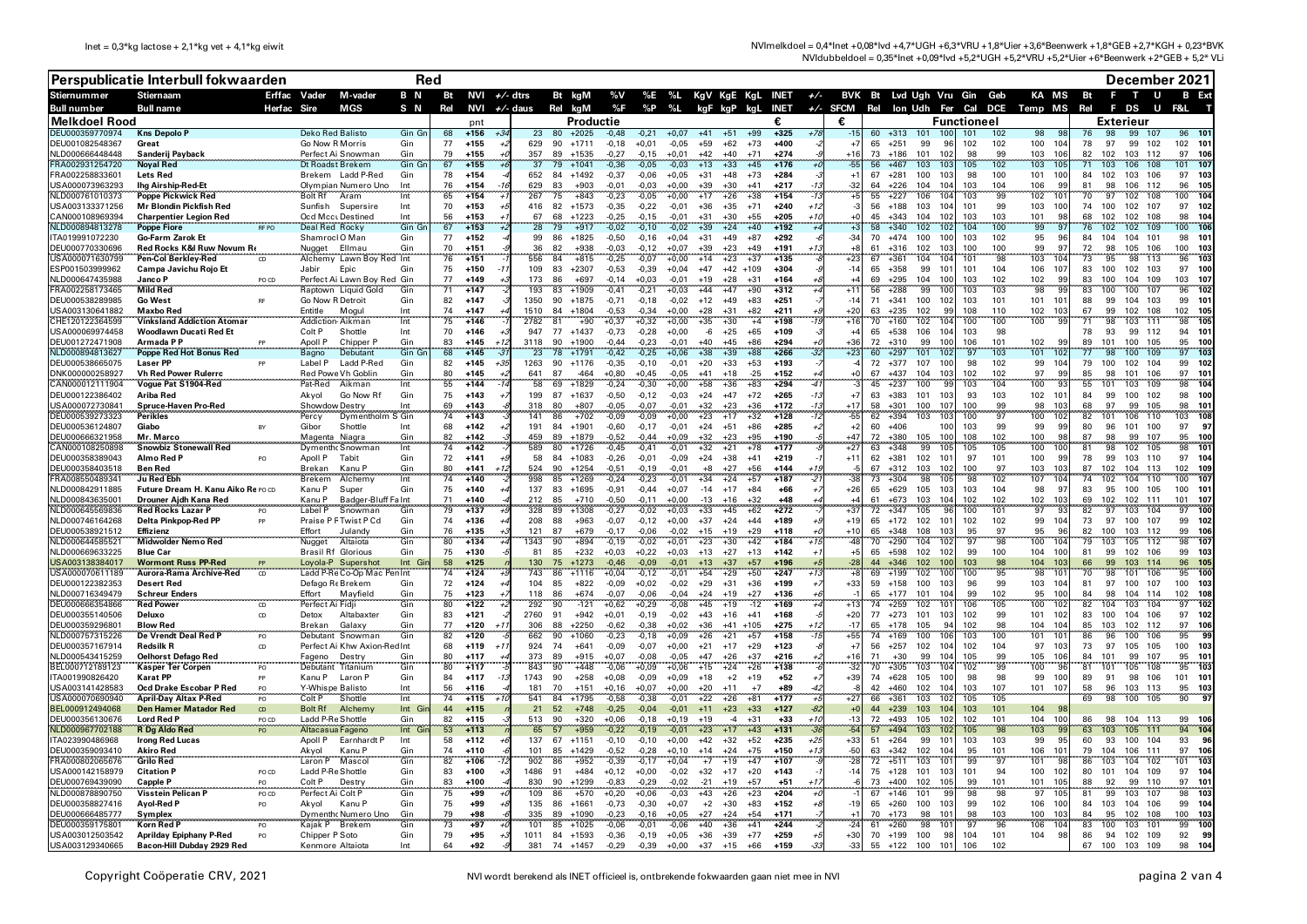NVImelkdoel = 0,4\*lnet +0,08\*lvd +4,7\*UGH +6,3\*VRU +1,8\*Uier +3,6\*Beenwerk +1,8\*GEB +2,7\*KGH + 0,23\*BVK NVIdubbeldoel = 0,35\*lnet +0,09\*lvd +5,2\*UGH +5,2\*VRU +5,2\*Uier +6\*Beenwerk +2\*GEB + 5,2\* VLi

|                                     | Perspublicatie Interbull fokwaarden                          |                 |                                       |                                                    | Red                       |          |                   |            |             |                                |                    |                    |                    |                |                                  |                            |       |               |                | December 2021                   |                                 |                    |            |                                              |          |                                |                                                 |  |
|-------------------------------------|--------------------------------------------------------------|-----------------|---------------------------------------|----------------------------------------------------|---------------------------|----------|-------------------|------------|-------------|--------------------------------|--------------------|--------------------|--------------------|----------------|----------------------------------|----------------------------|-------|---------------|----------------|---------------------------------|---------------------------------|--------------------|------------|----------------------------------------------|----------|--------------------------------|-------------------------------------------------|--|
| <b>Stiernummer</b>                  | <b>Stiernaam</b>                                             |                 | Erffac Vader                          | M-vader                                            | B N                       |          | Bt NVI $+/-$ dtrs |            |             | Bt kgM                         | %V                 |                    |                    |                |                                  | %E %L KgV KgE KgL INET +/- |       |               |                | BVK Bt Lvd Ugh Vru Gin Geb      |                                 |                    |            | KA MS                                        | Bt       | F.<br>$\mathbf{T}$             | U<br><b>B</b> Ext                               |  |
| Bull number<br>Melkdoel Rood        | <b>Bull name</b>                                             | Herfac          | Sire                                  | MGS                                                | S N                       | Rel      | NVI               | $+/-$ daus |             | Rel kgM                        | %F<br>Productie    | %P                 | %L                 | kgF kgP kgL    |                                  | <b>INET</b>                |       | +/- SFCM<br>€ |                | Rel Ion Udh Fer Cal DCE Temp MS |                                 | <b>Functioneel</b> |            |                                              | Rel      | F DS<br><b>Exterieur</b>       | U<br>F&L                                        |  |
| DEU000359770974                     | <b>Kns Depolo F</b>                                          |                 | <b>Deko Red Balisto</b>               |                                                    | Gin Gr                    | 68       | nnt<br>$+156$     |            | 23          | $+2025$<br>80                  | $-0,48$            | $-0.21$            | $+0.07$            | $+41$          | $+51$<br>$+99$                   | $+325$                     |       |               | 60             | $+313$                          |                                 | 101                | 102        | 98                                           |          | 99<br>98                       | 96<br>107                                       |  |
| DEU001082548367                     | Great                                                        |                 | Go Now R Morris                       |                                                    | Gin                       | 77       | $+155$            |            | 629         | 90<br>$+1711$                  | $-0,18$            | $+0,01$            | $-0.05$            | $+59$          | $+62$<br>$+73$                   | $+400$                     |       | $+7$          | 65             | $+251$<br>99                    | 96                              | 102                | 102        | 100<br>10 <sub>4</sub>                       | 78       | 97<br>99                       | 102<br>102 10                                   |  |
| NLD000666448448                     | Sanderii Pavback                                             |                 |                                       | Perfect Ai Snowmar                                 | Gin                       | 79       | $+155$            |            | 357         | 89<br>$+1535$                  | $-0.27$            | $-0,15$            | $+0.01$            | $+42$          | $+40$<br>$+71$                   | $+274$                     |       | $+16$         | 73             | 101<br>$+186$                   | -102                            | 98                 | 99         | 10 <sub>1</sub><br>103                       | 82       | 103 112<br>102                 | 97<br><b>106</b>                                |  |
| RA002931254720<br>FRA002258833601   | <b>Noyal Red</b><br><b>Lets Red</b>                          |                 | Dt Roadst Brekem                      | Brekem Ladd P-Red                                  | Gin Gr<br>Gin             | 67<br>78 | $+155$<br>$+154$  |            | 37<br>652   | 79<br>$+1041$<br>$+1492$<br>84 | $-0,36$<br>$-0.37$ | $-0,05$<br>$-0.06$ | $-0.03$<br>$+0.05$ | $+13$<br>$+31$ | $+33$<br>$+45$<br>$+48$<br>$+73$ | $+17$<br>$+284$            |       | <b>5F</b>     | 56<br>67       | $+467$<br>103<br>$+281$<br>100  | 10<br>103                       | 105<br>98          | 102<br>100 | 103<br>10!<br>100<br>101                     | 71<br>84 | 103<br>106<br>103 106<br>102   | 108<br>10 <sup>1</sup><br>101<br>97<br>103      |  |
| JSA000073963293                     | <b>Ing Airship-Red-Et</b>                                    |                 |                                       | Olympian Numero Uno                                | Int                       | 76       | $+154$            |            | 629         | 83<br>$+903$                   | $-0.01$            | $-0.03$            | $+0.00$            | $+39$          | $+30$<br>$+41$                   | $+217$                     |       | $+1$<br>$-32$ | 64             | $+226$<br>104                   | 104                             | 103                | 104        | 106<br>-99                                   | 81       | 98<br>106 112                  | 96<br>105                                       |  |
| NLD000761010373                     | Poppe Pickwick Red                                           |                 | <b>Bolt Rf</b>                        | Aram                                               | Int                       | 65       | $+154$            |            | 267         | 75<br>$+843$                   | $-0,23$            | $-0,05$            | $+0,00$            | $+17$          | $+26$<br>$+38$                   | $+154$                     |       |               | 55             | 106<br>$+227$                   | 104                             | 103                | 99         | 102<br>10 <sup>1</sup>                       | 70       | -97<br>102                     | 108<br>104<br>100                               |  |
| USA003133371256                     | Mr Blondin Pickfish Red                                      |                 | Sunfish                               | Supersire                                          | Int                       | 70       | $+153$            |            | 416         | 82<br>$+1573$                  | $-0,35$            | $-0,22$            | $-0.01$            | $+36$          | $+35$<br>$+71$                   | $+240$                     | +1;   | -3            |                | 56 +188<br>103                  | 104                             | 101                | 99         | 103<br>10(                                   | 74       | 100<br>102 107                 | 97<br>102                                       |  |
| CAN000108969394<br>VLD000894813278  | Mr biging<br>Charpentier Legion Red<br>RFPO                  |                 | Ocd Mcci Destined<br>Deal Red Rocky   |                                                    | Int<br>Gin Gr             | 56<br>67 | $+153$<br>$+153$  |            | 67<br>28    | 68<br>$+1223$<br>79<br>$+917$  | $-0.25$<br>$-0,02$ | $-0.15$<br>$-0,10$ | $-0.01$            | $+31$<br>$+39$ | $+30$<br>$+55$<br>$+24$<br>$+40$ | $+205$<br>$+192$           |       |               | 45<br>58       | $+343$<br>104<br>102<br>$+340$  |                                 | 103<br>104         | 103<br>100 | 101<br>-91<br>$-99$                          | 68       | 102<br>102<br>102<br>102       | 98<br>108<br>104<br>109<br>100<br>106           |  |
| ITA019991072230                     | <b>Poppe Fiore</b><br><b>Go-Farm Zarok Et</b>                |                 | Shamrocl O Man                        |                                                    | Gir                       | 77       | $+152$            |            | 99          | 86<br>$+1825$                  | $-0.50$            | $-0.16$            | $+0,04$            | $+31$          | $+87$<br>$+49$                   | $+292$                     |       | $-34$         |                | 70 +474<br>100                  | <b>100</b>                      | 103                | 102        | 95<br>96                                     | 84       | 104<br>104                     | 101<br>98<br>$10^{\circ}$                       |  |
| DEU000770330696                     | Red Rocks K&I Ruw Novum Re                                   |                 | Nuaget                                | Ellmau                                             | Gir                       | 70       | $+151$            |            | 36          | 82<br>$+938$                   | $-0,03$            | $-0,12$            | $+0.07$            | $+39$          | $+23$<br>$+49$                   | $+191$                     |       | +8            | 61             | 102<br>$+316$                   |                                 | 100                | 100        | 99<br>97                                     | 72       | 98<br>105                      | 106<br>100<br>103                               |  |
| JSA000071630799                     | Pen-Col Berklev-Red                                          |                 |                                       | Alchemy Lawn Boy Red Int                           |                           | 76       | $+151$            |            | 556         | 84<br>$+815$                   | $-0,25$            | $-0,07$            | $+0,00$            | $+14$          | $+23$<br>$+37$                   | $+135$                     |       | $+23$         | 67             | 104<br>$+361$                   |                                 | 101                | 98         | 103<br>10 <sub>1</sub>                       |          | 95<br>98                       | 113<br>103<br>96                                |  |
| ESP001503999962<br>NLD000647435988  | Campa Javichu Roio Et<br>Janco P                             |                 | Jabir                                 | Epic                                               | Gir                       | 75<br>77 | $+150$<br>$+149$  |            | 109<br>173  | 83<br>$+2307$<br>86<br>$+697$  | $-0.53$<br>$-0.14$ | $-0,39$<br>$+0.03$ | $+0,04$<br>$-0.01$ | $+47$<br>$+19$ | $+42$ +109<br>$+28$<br>$+31$     | $+304$<br>$+164$           |       | $-14$         | 65<br>69       | $+358$<br>99<br>$+295$<br>104   | 101<br>10 <sup>1</sup>          | 101<br>103         | 104<br>102 | 107<br>106<br>102<br>99                      | 83<br>83 | 102 103<br>100<br>100<br>104   | 97<br>100<br>109<br>103<br>107                  |  |
| RA002258173465                      | <b>Mild Red</b>                                              | PO CD           |                                       | Perfect Ai Lawn Boy Red Gin<br>Raptown Liquid Gold | Gir                       | 71       | $+147$            |            | 193         | 83<br>$+1909$                  | $-0,41$            | $-0,21$            | $+0,03$            | $+44$          | $+47$<br>$+90$                   | $+312$                     |       | $+11$         | 56             | 99<br>$+288$                    | 10 <sub>l</sub>                 | 103                | 103        | 98<br>$\mathbf{q}$                           | 83       | 100<br>100                     | 107<br>102<br>96                                |  |
| DEU000538289985                     | <b>Go West</b>                                               |                 | Go Now R Detroit                      |                                                    | Gir                       | 82       | $+147$            |            | 1350        | $+1875$<br>90                  | $-0.71$            | $-0.18$            | $-0.02$            | $+12$          | $+49$<br>$+83$                   | $+251$                     |       | $-14$         | 71             | $+341$<br>100                   | 102                             | 103                | 101        | 101 101                                      | 88       | 104 103<br>99                  | 99<br>$10^{\circ}$                              |  |
| JSA003130641882                     | <b>Maxbo Red</b>                                             |                 | Entitle                               | Moaul                                              | Int                       | 74       | $+147$            |            | 1510        | 84<br>$+1804$                  | $-0.53$            | $-0.34$            | $+0.00$            | $+28$          | $+31$<br>$+82$                   | $+21'$                     |       | $+20$         | 63             | 102<br>$+235$                   | qc                              | 108                | 110        | 102<br>10                                    | 67       | 102 108<br>99                  | 102<br>105                                      |  |
| HE120122364599                      | <b>Vinksland Addiction Atomar</b><br>Woodlawn Ducati Red Et  |                 | Addiction Aikman<br>Colt <sub>P</sub> | Shottle                                            | Int<br>Int                | 75<br>70 | $+146$<br>$+146$  |            | 2782<br>947 | $+90$<br>81<br>77              | $+0,37$<br>$-0.73$ | $+0,32$            | $+0,00$            | $+35$          | $+30$<br>$+65$                   | $+198$<br>$+4$<br>$+109$   |       | $+10$<br>+4   | 70<br>65       | 102<br>$+160$<br>$+538$<br>106  | 104<br>104                      | 100<br>103         | 100<br>98  | 100<br><b>g</b>                              | 71<br>78 | 98<br>103<br>93<br>99 112      | 111<br>105<br>98<br>94<br>$10^{\circ}$          |  |
| USA000069974458<br>ELI001272471908  | Armada P P                                                   |                 | Anoll P                               | Chipper P                                          | Gir                       | 83       | $+145$            |            | 3118        | $+1437$<br>90<br>$+1900$       | $-0,44$            | $-0,28$<br>$-0.23$ | $+0,00$<br>$-0.01$ | -6<br>$+40$    | $+25$<br>$+86$<br>$+45$          | $+294$                     |       | -36           | 72             | 99<br>$+310$                    | 10 <sup>1</sup>                 | 106                | 101        | 102<br>99                                    | 89       | 100<br>101                     | 105<br>95                                       |  |
| VLD000894813627                     | Poppe Red Hot Bonus Red                                      | ستستنبذ         | Bagno                                 | <b>Debutant</b>                                    | Gin Gr                    | 68       | $+145$            |            |             | 78<br>$+1791$                  | $-0,42$            | $-0,25$            | $+0,06$            | $+38$          | $+39$<br>$+88$                   | $+266$                     |       | $+23$         | 60             | 101<br>$+297$                   | 102                             | 97                 | 103        | 101<br>10 <sub>i</sub>                       |          | 100                            | 97<br>109<br>103                                |  |
| DEU000538665075                     | Laser PP                                                     |                 | Label P                               | Ladd P-Red                                         | Gin                       | 82       | $+145$            | $+3.$      | 1263        | 90<br>$+1176$                  | $-0.35$            | $-0,10$            | $-0,01$            | $+20$          | $+33$<br>$+53$                   | $+193$                     |       |               |                | $72 + 377$<br>107               | 100                             | 98                 | 102        | 99<br>10 <sub>4</sub>                        | 79       | 100<br>102                     | 104<br>99<br>102                                |  |
| DNK000000258927                     | <b>Vh Red Power Rulerrc</b>                                  |                 | <b>Red Powe Vh Goblin</b>             |                                                    | Gir<br>Int                | 80<br>55 | $+145$<br>$+144$  |            | 641<br>58   | 87<br>$-464$                   | $+0.80$            | $+0.45$            | $-0.05$            | $+41$          | $+18$<br>$-25$                   | $+152$<br>$+294$           |       | ÷ſ            | 67<br>45       | $+437$<br>104<br>$+237$         | 103<br><b>QC</b>                | 102<br>103         | 102<br>104 | 97<br>99<br>100<br>$\mathbf{q}$              | 85<br>55 | 98<br>101<br>101<br>103        | 106<br>97<br>$10^{\circ}$<br>109<br>98<br>104   |  |
| CAN000012111904<br>DEU000122386402  | Vogue Pat S1904-Red<br>Ariba Red                             |                 | Pat-Red<br>Akvol                      | Aikman<br>Go Now Rf                                | Gin                       | 75       | $+143$            |            | 199         | 69<br>$+1829$<br>87<br>$+1637$ | $-0,24$<br>$-0.50$ | $-0,30$<br>$-0.12$ | $+0,00$<br>$-0.03$ | $+58$<br>$+24$ | $+36$<br>$+83$<br>$+47$<br>$+72$ | $+265$                     | -13   | $+7$          | 63             | 100<br>$+383$<br>101            | 103                             | 93                 | 103        | 102<br>$10^{1}$                              | 84       | 100<br>99                      | 102<br>98<br>100                                |  |
| JSA000072730841                     | Spruce-Haven Pro-Red                                         |                 | Showdow Destry                        |                                                    | Int                       | 69       | $+143$            |            | 318         | 80<br>$+807$                   | $-0.05$            | $-0.07$            | $-0.01$            | $+32$          | $+23$<br>$+36$                   | $+172$                     |       | $+17$         | 58             | 100<br>$+301$                   | 107                             | 100                | 99         | 98<br>10                                     | 68       | 97<br>99                       | 105<br>98<br>$10^{\circ}$                       |  |
| DEU000539273323                     | Perikles                                                     |                 | Percy                                 | Dymentholm S Gin                                   |                           | 74       | $+143$            |            | 141         | $+702$<br>86                   | $-0,09$            | $-0,09$            | $+0,00$            | $+23$          | $+17$<br>$+32$                   | $+128$                     |       | $-55$         | 62             | $+394$<br>103                   | 10                              | 100                | 97         | 100<br>10:                                   | 82       | 101<br>106                     | 110<br>103<br>108                               |  |
| DEU000536124807                     | Giabo                                                        |                 | Gibor                                 | Shottle                                            | Int                       | 68<br>82 | $+142$<br>$+142$  |            | 191<br>459  | 84<br>$+1901$<br>89<br>$+1879$ | $-0.60$            | $-0.17$            | $-0.01$            | $+24$          | $+86$<br>$+51$                   | $+285$<br>$+190$           |       | +2<br>$+47$   | 60<br>72       | $+406$<br>$+380$                | 100<br>100                      | 103<br>108         | 99<br>102  | 99<br><b>gc</b><br>100<br>91                 | 80<br>87 | 96<br>101<br>98<br>99          | 100<br>97<br>-97<br>107<br>95<br>100            |  |
| DEU000666321958<br>CAN000108250898  | Mr. Marco<br><b>Snowbiz Stonewall Red</b>                    |                 | Magenta Niagra                        | Dymenth Snowman                                    | Gin<br>Int                | 74       | $+142$            |            | 589         | 80<br>$+1726$                  | $-0.52$<br>$-0,45$ | $-0.44$<br>$-0,41$ | $+0.09$<br>$-0,01$ | $+32$<br>$+32$ | $+23$<br>$+95$<br>$+21$<br>$+78$ | $+17.$                     |       | +27           | 63             | 105<br>$+348$<br>99             | 10 <sup>1</sup>                 | 105                | 105        | 100<br>10 <sub>1</sub>                       | 81       | 98<br>102                      | 105<br>98<br>101                                |  |
| DEU000358389043                     | Almo Red P                                                   |                 | Apoll P                               | Tabit                                              | Gir                       | 72       | $+141$            |            | 58          | $+1083$<br>84                  | $-0,26$            | $-0,01$            | $-0.09$            | $+24$          | $+38$<br>$+41$                   | $+219$                     |       | $+11$         | 62             | $+381$<br>102                   | 101                             | 97                 | 101        | 100<br>-99                                   | 78       | 99<br>103 110                  | 97<br>104                                       |  |
| DELI000358403518                    | <b>Ben Red</b><br>                                           |                 | <b>Rrekan</b>                         | Kanu P                                             | Gin                       | 80       | $+141$            |            | 524         | 90<br>$+1254$                  | $-0.51$            | $-0.19$            | $-0.01$            | $+8$           | $+56$<br>$+27$                   | $+144$                     |       |               | 67             | 103<br>$+312$                   | 102                             | 100                | 97         | 103<br>10                                    | 87       | 102<br>104                     | 113<br>102<br>109                               |  |
| RA008550489341                      | Ju Red Ebh                                                   |                 | Brekem                                | Alchemy                                            | $\overline{\ln t}$<br>Gin | 74       | $+140$<br>$+140$  |            | 998<br>137  | 85<br>$+1269$<br>83<br>$+1695$ | $-0,24$<br>$-0.91$ | $-0,23$<br>$-0.44$ | $-0,01$<br>$+0.07$ | $+34$<br>$-14$ | $+57$<br>$+24$<br>$+17$<br>$+84$ | $+187$<br>$+66$            |       | $+26$         | 73<br>65       | 98<br>$+304$                    | 10<br>103                       | 98<br>103          | 102<br>104 | 107<br>10 <sub>6</sub><br>98<br>-9           | 83       | 102<br>104<br>95<br>100        | 107<br>110<br>100<br>105<br>100<br>$10^{\circ}$ |  |
| NLD000842911885<br>NI D000843635001 | Future Dream H. Kanu Aiko Re PO CD<br>Drouner Aidh Kana Red  |                 | Kanu P<br>Kanu P                      | Super<br>Badger-Bluff Fa Int                       |                           | 75<br>71 | $+140$            |            | 212         | 85<br>$+710$                   | $-0.50$            | $-0,11$            | $+0.00$            | $-13$          | $+32$<br>$+16$                   | $+48$                      |       |               | 61             | $+629$<br>105<br>103<br>$+673$  | 104                             | 102                | 102        | 102<br>10                                    | 69       | 102 111<br>102                 | $10^{\circ}$<br>101                             |  |
| VLD000645569836                     | <b>Red Rocks Lazar P</b>                                     |                 | Label P                               | Snowman                                            | Gir                       | 79       | $+137$            |            | 328         | 89<br>$+1308$                  | $-0,27$            | $-0,02$            | $+0,03$            | $+33$          | $+45$<br>$+62$                   | $+272$                     |       | 137           | 72             | 105<br>$+347$                   |                                 | 100                | 101        | 97<br>٠ä                                     | 82       | 97<br>103                      | 100<br>104<br>97                                |  |
| NLD000746164268                     | Delta Pinkpop-Red PP                                         |                 |                                       | Praise P F Twist P Cd                              | Gin                       | 74       | $+136$            |            | 208         | 88<br>$+963$                   | $-0.07$            | $-0.12$            | $+0.00$            | $+37$          | $+24$<br>$+44$                   | $+189$                     |       | $+19$         |                | 65 +172 102                     | 101                             | 102                | 102        | 99<br>10 <sup>2</sup>                        | 73       | 97<br>100 107                  | 99<br>102                                       |  |
| DEU000538921512                     | Effizienz                                                    |                 | Fffort                                | Julandy                                            | Gin                       | 76       | $+135$<br>$+134$  |            | 121<br>1343 | 87<br>$+679$<br>90             | $-0,17$            | $-0.06$            | $-0.02$            | $+15$          | $+29$<br>$+19$                   | $+118$<br>$+184$           |       | $+10$<br>48   | 65<br>70       | $+348$<br>108                   | $10^{\circ}$<br>102             | 95<br>97           | 97<br>98   | 95<br>96<br>100<br>10 <sub>1</sub>           | 82<br>79 | 100<br>103 112<br>103<br>105   | 99<br>106<br>112<br>98<br>10 <sup>1</sup>       |  |
| VLD000644585521<br>NLD000669633225  | Midwolder Nemo Red<br><b>Blue Car</b>                        |                 | Nugget<br><b>Brasil Rf Glorious</b>   | Altaiota                                           | Gin<br>Gin                | 80<br>75 | $+130$            |            | 81          | $+894$<br>85<br>$+232$         | $-0,19$<br>$+0.03$ | $-0,02$<br>$+0,22$ | $+0.01$<br>$+0.03$ | $+23$<br>$+13$ | $+42$<br>$+30$<br>$+27$<br>$+13$ | $+142$                     |       | +5            | 65             | 104<br>$+290$<br>102<br>$+598$  | 102                             | 99                 | 100        | 10(<br>104                                   | 81       | 99<br>102 106                  | 99<br>-103                                      |  |
| JSA003138384017                     | <b>Wormont Russ PP-Red</b>                                   |                 |                                       | Lovola-P Supershot                                 | Int Gi                    | 58       | $+125$            |            | 130         | 75<br>$+1273$                  | $-0.46$            | $-0,09$            | $-0.01$            | $+13$          | $+37$<br>$+57$                   | $+190$                     |       | $-28$         | $\overline{A}$ | $+346$<br>102                   |                                 | 103                | 98         | 10<br>104                                    | 66       | 99<br>103 114                  | 96<br>10 <sup>5</sup>                           |  |
| JSA000070611189                     | Aurora-Rama Archive-Red                                      | CD              |                                       | Ladd P-Re Co-Op Mac Pen Int                        |                           | 74       | $+124$            |            | 743         | 86<br>$+1116$                  | $+0,04$            | $-0,12$            | $-0.01$            | $+54$          | $+29$<br>$+50$                   | $+247$                     |       |               | 69             | 102<br>$+199$                   | 100                             | 100                | 95         | 98<br>10                                     | 70       | 98<br>101                      | 106<br>95<br>100                                |  |
| DEU000122382353<br>NLD000716349479  | <b>Desert Red</b>                                            |                 | Defago Re Brekem                      |                                                    | Gir                       | 72       | $+124$            |            | 104<br>118  | 85<br>$+822$<br>86             | $-0.09$            | $+0,02$            | $-0.02$            | $+29$          | $+31$<br>$+36$<br>$+19$          | $+199$<br>$+136$           |       | $+33$         | 59<br>65       | $+158$<br>100<br>$+177$<br>101  | 103<br>104                      | 96<br>99           | 99         | 103<br>10 <sup>2</sup><br>10(<br>95          | 81<br>84 | 97<br>100 107<br>104 114<br>98 | 100<br>103                                      |  |
| DEU000666354866                     | <b>Schreur Enders</b><br><b>Red Power</b>                    | CD              | Effort<br>Perfect Ai Fidji            | Mayfield                                           | Gir<br>Gin                | 75<br>80 | $+123$<br>$+122$  |            | 292         | $+674$<br>90<br>$-121$         | $-0.07$<br>$+0,62$ | $-0.06$<br>$+0,29$ | $-0.04$<br>$-0,08$ | $+24$<br>$+45$ | $+27$<br>$+19$<br>$-12$          | $+169$                     |       | $-12$         | 74             | $+259$<br>102                   | 10 <sup>7</sup>                 | 106                | 102<br>105 | 100<br>10.                                   | 82       | 104<br>103                     | 102<br>10វ<br>104<br>10 <sup>2</sup><br>97      |  |
| DEU000355140506                     | Deluxo                                                       | CD              | Detox                                 | Altabaxter                                         | Gin                       | 83       | $+121$            |            | 2760        | 91<br>$+942$                   | $+0,01$            | $-0.19$            | $-0.02$            | $+43$          | $+16$<br>$+41$                   | $+168$                     |       | $+20$         | 77             | $+273$<br>101                   | 103                             | 102                | 99         | 102<br>101                                   | 83       | 104 106<br>100                 | 97<br>102                                       |  |
| DEU000359296801                     | <b>Blow Red</b>                                              |                 | Brekan                                | Galaxy                                             | Gin                       | 77       | $+120$            | $+1$       | 306         | 88<br>$+2250$                  | $-0.62$            | $-0.38$            | $+0.02$            | $+36$          | $+41$ +105                       | $+275$                     |       | $-17$         | 65             | 105<br>$+178$                   |                                 | 102                | 98         | 104<br>10 <sub>i</sub>                       | 85       | 102 112<br>103                 | 97<br>106                                       |  |
| NLD000757315226                     | De Vrendt Deal Red I                                         | PO              |                                       | Debutant Snowman                                   | Gin                       | 82<br>68 | $+120$<br>$+119$  |            | 662<br>924  | 90<br>$+1060$<br>74<br>$+641$  | $-0.23$<br>$-0.09$ | $-0,18$<br>$-0.07$ | $+0,09$<br>$+0.00$ | $+26$<br>$+21$ | $+21$<br>$+57$<br>$+17$<br>$+29$ | $+155$<br>$+123$           |       | $+55$<br>$+7$ | 74<br>56       | 100<br>$+169$<br>102<br>$+257$  | 10 <sub>1</sub><br>104          | 103<br>102         | 100<br>104 | 101<br>10 <sup>1</sup><br>97<br>10           | 86<br>73 | 96<br>100<br>97<br>105 105     | 106<br>95<br>100<br>103                         |  |
| DEU000357167914<br>VLD000543415259  | <b>Redsilk R</b><br>Oelhorst Defago Red                      | CD              | Fageno                                | Perfect Ai Khw Axion-Red Int<br>Destry             | Gir                       | 80       | $+117$            | $+1$       | 373         | 89<br>$+915$                   | $+0.07$            | $-0.08$            | $-0.05$            | $+47$          | $+26$<br>$+37$                   | $+216$                     |       | 11ء           | 71             | 99<br>$+30$                     | 10                              | 105                | 99         | 105<br>10 <sub>1</sub>                       | 84       | 99<br>101                      | 107<br>95<br>$10^{\circ}$                       |  |
| BEL000712189123                     | Kasper Ter Corpen                                            | PO <sub>1</sub> | Debutant Titanium                     |                                                    | Gin                       | 80       | $+117$            |            | 843         | 90<br>$+448$                   | $-0,06$            | $+0,09$            | $+0,06$            | $+15$          | $+24$<br>$+26$                   | $+135$                     |       | -31           | 70             | 103<br>$+305$                   | 104                             | 102                | 99         | 100<br>96                                    | 81       | 101<br>105                     | 108<br>95<br>103                                |  |
| TA001990826420                      | Karat PP                                                     |                 | Kanu P                                | Laron P                                            | Gir                       | 84       | $+117$            |            | 1743        | 90<br>$+258$                   | $+0.08$            | $-0.09$            | $+0.09$            | $+18$          | $+2$<br>$+19$                    | $+52$                      |       | $+39$         | 74             | $+628$<br>105                   | <b>100</b>                      | 98                 | 98         | 99<br>10(                                    | 89       | 98 106<br>91                   | $101 - 10$                                      |  |
| JSA003141428583<br>JSA000070690940  | Ocd Drake Escobar P Red                                      | PO.             | Y-Whispe Balisto<br>Colt <sub>P</sub> | Shottle                                            | Int<br>Int                | 56<br>74 | $+116$<br>$+115$  |            | 181<br>541  | 70<br>$+151$<br>84<br>$+1795$  | $+0.16$            | $+0.07$            | $+0.00$            | $+20$          | $+11$<br>$+81$                   | $+89$<br>$+7$<br>$+177$    |       | $+27$         | 42<br>66       | $+460$<br>102<br>$+361$         | 10 <sub>A</sub><br>$10^{\circ}$ | 103<br>105         | 107<br>105 | 101 107                                      | 58<br>69 | 96<br>103 113<br>98<br>100     | 95<br>103<br>105<br>90<br>o.                    |  |
| BEL000912494068                     | <b>April-Day Altax P-Red</b><br><b>Den Hamer Matador Red</b> | PO<br>CD        | Bolt Rf                               | Alchem <sup>®</sup>                                | Int Gi                    | 44       | $+115$            |            | 21          | 52<br>$+748$                   | $-0,58$<br>$-0,25$ | $-0,38$<br>$-0,04$ | $-0,01$<br>$-0.01$ | $+22$<br>$+11$ | $+26$<br>$+23$<br>$+33$          | $+127$                     |       |               | 44             | 103<br>$+239$<br>103            | 104                             | 103                | 101        | $104 - 95$                                   |          |                                |                                                 |  |
| DEU000356130676                     | <b>Lord Red F</b>                                            | PO CD           | Ladd P-Re Shottle                     |                                                    | Gin                       | 82       | $+115$            |            | 513         | $+320$<br>90                   | $+0,06$            | $-0,18$            | $+0,19$            | $+19$          | $+31$<br>$-4$                    | $+33$                      | $+10$ | $-13$         | 72             | 105<br>$+493$                   | -102                            | 102                | 101        | 10(<br>104                                   | 86       | 98<br>104 113                  | 99<br><b>106</b>                                |  |
| VLD000967702188                     | <b>R</b> Dg Aldo Red                                         |                 | Altacasua Fageno                      |                                                    | Int Gi                    | 53       | $+113$            |            | 65          | 57<br>$+959$                   | $-0,22$            | $-0,19$            | $-0,01$            | $+23$          | $+17$<br>$+43$                   | $+131$                     |       |               | 57             | $+494$<br>103                   |                                 | 105                | 98         | 103<br>$\mathbf{q}$                          | 63       | 103<br>105 111                 | 94<br>104                                       |  |
| TA023990486968                      | <b>Irong Red Lucas</b>                                       |                 | Apoll P                               | Earnhardt F                                        | Int<br>Gir                | 58<br>74 | $+112$<br>$+110$  |            | 137<br>101  | 67 +1151<br>85                 | $-0,10$            | $-0,10$<br>$-0.28$ | $+0,00$<br>$+0.10$ | $+42$<br>$+14$ | $+32$<br>$+52$<br>$+24$<br>$+75$ | $+235$<br>$+150$           | +25   | $+33$<br>-50  | 51<br>63       | $+264$<br>99<br>$+342$          | 101<br>104                      | 103<br>95          | 103<br>101 | 99<br>$\mathbf{q}$<br>106<br>10 <sup>1</sup> | 60<br>79 | 93<br>100<br>104<br>106        | 93<br>104<br>96<br>111<br>97<br>106             |  |
| DEU000359093410<br>RA000802065676   | <b>Akiro Red</b><br><b>Grilo Red</b>                         |                 | Akvol<br>Laron P                      | Kanu P<br>Mascol                                   | Gin                       | 82       | $+106$            |            | 902         | $+1429$<br>86<br>$+952$        | $-0.52$<br>$-0,39$ | $-0,17$            | $+0,04$            | $+7$           | $+47$<br>$+19$                   | $+107$                     |       |               | 72             | 102<br>103<br>$+511$            | 10                              | 99                 | 97         | 101<br>98                                    |          | 103<br>104                     | 103<br>102<br>101                               |  |
| USA000142158979                     | <b>Citation P</b>                                            | PO CD           | Ladd P-Re Shottle                     |                                                    | Gir                       | 83       | $+100$            |            | 1486        | $+484$<br>91                   | $+0,12$            | $+0,00$            | $-0,02$            | $+32$          | $+17$<br>$+20$                   | $+143$                     |       | $-14$         |                | 75 +128<br>101                  | 103                             | 101                | 94         | 100<br>102                                   | 80       | 104 109<br>101                 | 97<br>10 <sub>i</sub>                           |  |
| DEU000769439090                     | Capple P                                                     |                 | Colt P                                | Destry                                             | Gin                       | 83       | $+100$            |            | 830         | 90<br>$+1299$                  | $-0,83$            | $-0,29$            | $-0,02$            | $-21$          | $+19$<br>$+57$                   | $+51$                      |       |               | 73             | $+400$<br>102                   | 105                             | 99                 | 101        | 101<br>10!                                   | 88       | 92<br>99                       | 110<br>97<br>101                                |  |
| NLD000878890750                     | Visstein Pelican F                                           | PO CD           | Perfect Ai Colt P                     |                                                    | Gin                       | 75       | +99               |            | 109         | 86<br>$+570$                   | $+0,20$            | $+0,06$            | $-0,03$            | $+43$          | $+26$<br>$+23$                   | $+204$                     |       |               | 67             | $+146$<br>101                   | 99                              | 98                 | 98         | 97<br>10                                     | 81       | 99<br>103                      | 103<br>107<br>98                                |  |
| DEU000358827416<br>DEU000666485777  | Ayol-Red P                                                   | PO              | Akyol                                 | Kanu P<br>Dymenth: Numero Uno                      | Gir<br>Gir                | 75<br>79 | +99<br>+98        |            | 135<br>335  | 86<br>$+1661$<br>89<br>$+1090$ | $-0,73$<br>$-0,23$ | $-0,30$<br>$-0,16$ | $+0,07$<br>$+0,05$ | $+2$<br>$+27$  | $+30$<br>$+83$<br>$+24$<br>$+54$ | $+152$<br>$+171$           |       | $-19$         | 65<br>70       | $+260$<br>100<br>$+173$<br>98   | 103<br>101                      | 99<br>98           | 102<br>103 | 100<br>106<br>103<br>100                     | 84<br>84 | 103<br>104<br>102 108<br>95    | 106<br>99<br>104<br>100<br>103                  |  |
| DEU000359175801                     | Symplex<br>Korn Red P                                        | PO              | Kajak P                               | Brekem                                             | Gin                       | 73       | $+97$             |            | 101         | 85<br>$+1025$                  | $-0,06$            | $-0,01$            | $-0,06$            | $+40$          | $+36$<br>$+41$                   | $+244$                     |       | $-24$         | 61             | 98<br>$+260$                    | 101                             | 97                 | 96         | 106<br>104                                   | 83       | 100<br>103                     | 100<br>101<br>99                                |  |
| USA003012503542                     | <b>Aprilday Epiphany P-Red</b>                               |                 | Chipper P Soto                        |                                                    | Gir                       | 79       | $+95$             |            | 1011        | 84<br>$+1593$                  | $-0,36$            | $-0,19$            | $+0,05$            | $+36$          | $+39$<br>$+77$                   | $+259$                     |       | $+30$         |                | $70 + 199$<br>100               | 98                              | 104                | 101        | 104<br>98                                    | 86       | 94<br>102 109                  | 99<br>92                                        |  |
| USA003129340665                     | Bacon-Hill Dubday 2929 Red                                   |                 | Kenmore Altaiota                      |                                                    | Int                       | 64       | +92               |            | 381         | 74 +1457                       | $-0,29$            | $-0,39$            | $+0,00$            | $+37$          | $+15$<br>$+66$                   | $+159$                     | 3.3   | $-33$         |                | $55 + 122$<br>100               | 101                             | 106                | 102        |                                              |          | 67 100 103 109                 | 98<br>104                                       |  |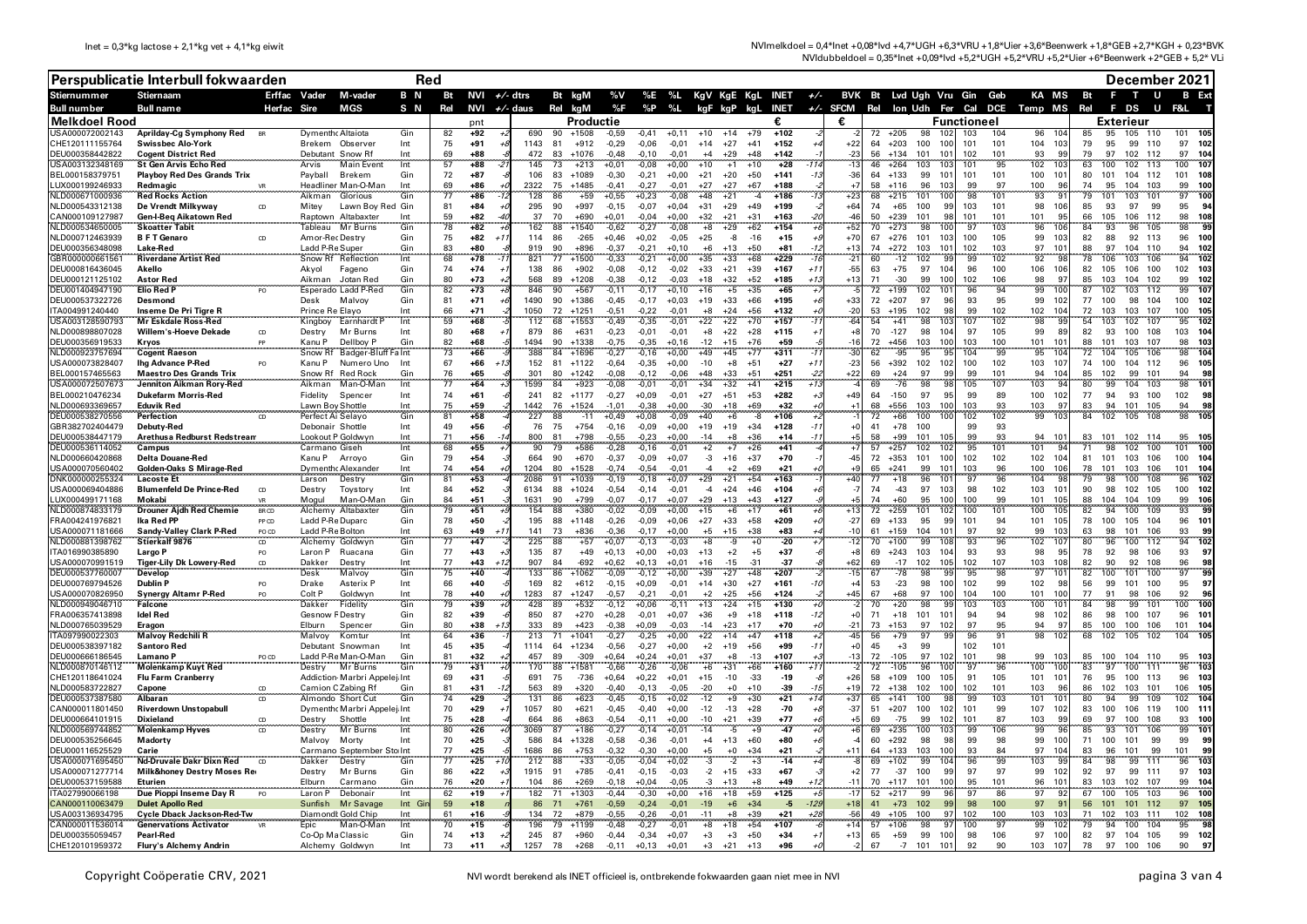| NVlmelkdoel = 0,4*lnet +0,08*lvd +4,7*UGH +6,3*VRU +1,8*Uier +3,6*Beenwerk +1,8*GEB +2,7*KGH + 0,23*BVK |  |
|---------------------------------------------------------------------------------------------------------|--|
| NVldubbeldoel = 0,35*lnet +0,09*lvd +5,2*UGH +5,2*VRU +5,2*Uier +6*Beenwerk +2*GEB + 5,2* VLi           |  |

|                                            | Perspublicatie Interbull fokwaarden                                |                    | Red                                   |                                                 |                |          |                    |       |             |                                |                    |                    |                    |                                 |                        |                                                               |             |                |                              |                    |                  |                         | December 2021 |                                              |                        |                          |                          |
|--------------------------------------------|--------------------------------------------------------------------|--------------------|---------------------------------------|-------------------------------------------------|----------------|----------|--------------------|-------|-------------|--------------------------------|--------------------|--------------------|--------------------|---------------------------------|------------------------|---------------------------------------------------------------|-------------|----------------|------------------------------|--------------------|------------------|-------------------------|---------------|----------------------------------------------|------------------------|--------------------------|--------------------------|
| <b>Stiernummer</b>                         | Stiernaam                                                          |                    | Erffac Vader                          | M-vader                                         | B <sub>N</sub> |          | Bt NVI $+/$ - dtrs |       |             | Bt kgM                         |                    |                    |                    |                                 |                        | %V %E %L KgV KgE KgL INET +/- BVK Bt Lvd Ugh Vru Gin Geb      |             |                |                              |                    |                  |                         |               | KA MS Bt                                     |                        | $F$ T<br><b>U</b>        | <b>B</b> Ext             |
| <b>Bull number</b><br><b>Melkdoel Rood</b> | <b>Bull name</b>                                                   | Herfac Sire        |                                       | MGS                                             | S N            | Rel      |                    |       |             | NVI $+/-$ daus Rel kgM         | %F<br>Productie    | %P                 | %L                 |                                 |                        | kgF kgP kgL INET +/- SFCM Rel lon Udh Fer Cal DCE Temp MS Rel | €           |                |                              |                    |                  | <b>Functioneel</b>      |               |                                              |                        | F DS<br>.<br>Exterieur   | F&I                      |
| USA000072002143                            | Aprilday-Cg Symphony Red                                           |                    | Dymenth Altaiota                      |                                                 | Gin            | 82       | pnt<br>$+92$       |       | 690         | 90<br>$+1508$                  | $-0.59$            | $-0.41$            | $+0.11$            | $+10$<br>$+14$                  |                        | $+102$                                                        |             |                | 72<br>$+205$                 |                    |                  | 104                     |               | 96                                           | 95                     | 105                      |                          |
| CHE120111155764                            | <b>Swissbec Alo-York</b>                                           |                    | Brekem                                | Observer                                        | Int            | 75       | +91                |       | 1143 81     | $+912$                         | $-0,29$            | $-0,06$            | $-0.01$            | $+14$<br>$+27$                  | $+41$                  | $+152$                                                        |             | $+22$          | 64<br>$+203$                 | 100                | 100              | 101<br>101              |               | 104 103                                      | 79<br>95               | 99<br>110                | 97<br>- 102              |
| DEU000358442822                            | <b>Cogent District Red</b>                                         |                    | Debutant Snow Rf                      |                                                 | Int            | 69       | +88                |       | 472         | 83<br>$+1076$                  | $-0,48$            | $-0,10$            | $-0,01$            | $+29$<br>$+4$                   | $+48$                  | $+142$                                                        |             | -23            | 56<br>$+134$                 | 101                | 101              | 102<br>101              |               | 93<br><b>QC</b>                              | 79<br>97               | 102 112                  | 97<br>104                |
| JSA003132348169<br>BEL000158379751         | <b>St Gen Arvis Echo Red</b><br><b>Playboy Red Des Grands Trix</b> |                    | Arvis<br>Payball                      | Main Even<br>Brekem                             | Int<br>Gin     | 57<br>72 | $+88$<br>$+87$     |       | 145<br>106  | 73<br>$+213$<br>83<br>$+1089$  | $+0,01$<br>$-0,30$ | $-0,08$<br>$-0,21$ | $+0,00$<br>$+0,00$ | $+10$<br>$+1$<br>$+21$<br>$+20$ | $+10$<br>$+50$         | $+28$<br>$+141$                                               |             | $-36$          | 46<br>$+264$<br>64<br>$+133$ | 103<br>99          | 103<br>101       | 101<br>101<br>101       | 95            | 102<br>100<br>10                             | 63<br>100<br>80<br>101 | 113<br>102<br>104 112    | 100<br>107<br>101<br>108 |
| UX000199246933                             | Redmagic                                                           |                    |                                       | Headliner Man-O-Man                             | Int            | 69       | $+86$              |       | 2322        | 75<br>$+1485$                  | $-0,41$            | $-0,27$            | $-0,01$            | $+27$<br>$+27$                  | $+67$                  | $+188$                                                        |             | $+7$           | 58<br>$+116$                 | 96                 | 103              | 99                      | 97            | 100<br>Qf                                    | 74<br>95               | 104 103                  | 99<br>100                |
| JLD000671000936                            | <b>Red Rocks Action</b>                                            |                    | Aikman                                | Glorious                                        | Gin            | 77       | $+86$              |       | 128         | 86<br>$+59$                    | $+0,55$            | $+0,23$            | $-0,08$            | $+48$<br>$+21$                  | -4                     | $+186$                                                        |             | $+23$          | 68<br>$+215$                 | 101                | 100              | 98<br>101               |               | 93<br>$\mathbf{q}$                           | 79<br>101              | 101<br>103               | 97<br>100                |
| NLD000543312138                            | De Vrendt Milkyway                                                 |                    | Mitey                                 | Lawn Boy Red Gin                                |                | 81       | +84                |       | 295<br>37   | 90<br>$+997$<br>$+690$         | $-0,15$            | $-0,07$            | $+0,04$            | $+31$<br>$+29$                  | $+49$                  | $+199$<br>$+163$                                              |             | $+64$<br>лŕ    | 74<br>$+65$<br>50            | 100                | 99<br>98         | 103<br>101<br>101       |               | 98<br>106<br>QI                              | 85<br>93<br>66         | 97<br>99<br>106 112      | 95<br>94                 |
| CAN000109127987<br>VLD000534650005         | Gen-I-Beq Aikatown Red<br><b>Skoatter Tabit</b>                    |                    | Tableau                               | Raptown Altabaxter<br>Mr Burns                  | Int<br>Gin     | 59<br>78 | $+82$<br>$+82$     |       | 162         | 70<br>88<br>$+1540$            | $+0.01$<br>$-0,62$ | $-0.04$<br>$-0,27$ | $+0.00$<br>$-0,08$ | $+32$<br>$+21$<br>$+8$<br>$+29$ | $+31$<br>$+62$         | $+154$                                                        |             | $+52$          | $+239$<br>70<br>$+273$       | 101<br>98          | 100              | 101<br>97<br>103        |               | 101<br>96                                    | 105<br>93<br>84        | 96<br>105                | 98<br>108<br>98          |
| NLD000712463939                            | <b>BFT</b> Genaro                                                  |                    | Amor-Rec Destry                       |                                                 | Gin            | 75       | $+82$              | $+1$  | 114         | 86<br>$-265$                   | $+0,46$            | $+0,02$            | $-0,05$            | $+25$                           | -8<br>$-16$            | $+15$                                                         |             | $+70$          | $+276$<br>67                 | 101                | 103              | 100<br>105              |               | 99<br>10.3                                   | 88<br>82               | 92 113                   | 96<br>100                |
| DEU000356348098                            | Lake-Red                                                           |                    | Ladd P-Re Super                       |                                                 | Gin            | 83       | $+80$              |       | 919         | 90<br>+896                     | $-0,37$            | $-0.21$            | $+0.10$            | $+6$<br>$+13$                   | $+50$                  | $+81$                                                         |             | $+12$          | 74<br>$+272$                 | 103                | 101              | 102<br>103              |               | 10 <sup>1</sup><br>97                        | 97<br>88               | 104 110                  | 94<br>102                |
| GBR000000661561<br>DEU000816436045         | <b>Riverdane Artist Red</b><br>Akello                              |                    |                                       | Snow Rf Reflection                              | Int<br>Gin     | 68<br>74 | $+78$<br>$+74$     |       | 821<br>138  | 77<br>$+1500$<br>- 86          | $-0,33$<br>$-0,08$ | $-0,21$            | $+0,00$            | $+33$<br>$+35$<br>$+21$         | $+68$<br>$+39$         | $+229$<br>+167                                                | $+1$        | $-21$<br>$-55$ | 60<br>63<br>$+75$            | $-12$<br>102<br>97 | <b>QC</b><br>104 | 99<br>102<br>96<br>100  |               | 92<br>ä<br>106                               | 78<br>106<br>82<br>105 | 106<br>103<br>106 100    | 94<br>102<br>102<br>103  |
| DEU000121125102                            | <b>Astor Red</b>                                                   |                    | Akyol<br>Aikman                       | Fageno<br>Jotan Red                             | Gin            | 80       | $+73$              |       | 568         | $+902$<br>89<br>$+1208$        | $-0,38$            | -0,12<br>$-0.12$   | -0,02<br>$-0.03$   | $+33$<br>$+32$<br>$+18$         | $+52$                  | $+185$                                                        | +1:         | $+1?$          | 71                           | $-30$<br>99        | 100              | 102<br>106              |               | 106<br>o.<br>98                              | 85<br>103              | 104 102                  | 99<br>102                |
| DEU001404947190                            | <b>Elio Red P</b>                                                  |                    |                                       | Esperado Ladd P-Red                             | Gin            | 82       | $+73$              |       | 846         | 90<br>$+567$                   | $-0,11$            | $-0,17$            | +0,10              | $+16$                           | $+5$<br>+35            | $+6!$                                                         |             |                | 72<br>$+199$                 | 102                | 101              | 96                      | 94            | 99<br>10                                     | 102<br>87              | 112<br>103               | 99<br>107                |
| DEU000537322726                            | Desmond                                                            |                    | Desk                                  | Malvoy                                          | Gin            | 81       | $+71$              |       | 1490        | 90<br>+1386                    | $-0,45$            | $-0.17$            | $+0.03$            | $+19$<br>$+33$                  | $+66$                  | $+195$                                                        |             | $+33$          | 72<br>$+207$                 | 97                 | 96               | 93                      | 95            | 99<br>10                                     | 77<br>100              | 98 104                   | 100<br>- 102             |
| TA004991240440<br>JSA003128590793          | Inseme De Pri Tigre R<br><b>Mr Eskdale Ross-Red</b>                |                    | Prince Re Elavo<br>Kingboy            | Earnhardt F                                     | Int<br>Int     | 66<br>59 | $+71$<br>$+68$     |       | 1050<br>112 | 72<br>$+1251$<br>$+1553$<br>68 | $-0.51$<br>$-0,49$ | $-0,22$<br>$-0,35$ | $-0.01$<br>$-0,01$ | $+24$<br>$+8$<br>$+22$<br>$+22$ | $+56$<br>$+70$         | $+132$<br>$+157$                                              |             | $-20$<br>$-64$ | 53<br>$+195$<br>54<br>$+41$  | 102<br>98          | 98<br>103        | 99<br>102<br>107<br>102 |               | 102<br>10 <sub>4</sub><br>98<br>$\mathbf{q}$ | 103<br>72<br>54<br>103 | 103 107<br>102<br>107    | 100<br>105<br>95<br>102  |
| NLD000898807028                            | Willem's-Hoeve Dekade                                              | CD                 | Destry                                | Mr Burns                                        | Int            | 80       | $+68$              |       | 879         | 86<br>$+631$                   | $-0,23$            | $-0,01$            | $-0.01$            | $+22$<br>$+8$                   | $+28$                  | $+115$                                                        |             | $+8$           | 70<br>$-127$                 | 98                 | 104              | 105<br>97               |               | 99<br>R <sup>c</sup>                         | 82<br>93               | 100 108                  | 103<br>-104              |
| DEU000356919533                            | Kryos<br>                                                          |                    | Kanu P                                | Dellboy P                                       | Gin            | 82       | $-68$              |       | 1494        | 90<br>$+1338$                  | $-0.75$            | $-0.35$            | $+0.16$            | $+15$<br>$-12$                  | $+76$                  | +59                                                           |             | 1۴-            | 72<br>$+456$                 | 103                | 100              | 103<br>100              |               | 101<br>10                                    | 101<br>88              | 103 107                  | 98<br>103                |
| VLD000923757694                            | <b>Cogent Raeson</b>                                               |                    | Snow Rf                               | Badger-Bluff Falnt                              |                | 73       | $+66$<br>86+       |       | 388         | 84<br>$+1696$                  | $-0,27$            | $-0,16$            | $+0,00$            | $+49$<br>$+45$                  | $+77$                  | $+311$                                                        |             | -30            | $-95$<br>62                  | 95                 |                  | 104                     | 99            | 95<br>10<br>10                               | 72<br>104              | 105<br>106               | 98<br>105                |
| USA000073828407<br>BEL000157465563         | <b>Ihg Advance P-Red</b><br><b>Maestro Des Grands Trix</b>         |                    | Kanu P<br>Snow Rf                     | Numero Uno<br><b>Red Rock</b>                   | Int<br>Gir     | 67<br>76 | $+65$              | $+1$  | 152<br>301  | 81<br>$+1122$<br>80<br>$+1242$ | $-0.64$<br>$-0.08$ | $-0,35$<br>$-0.12$ | $+0,00$<br>$-0.06$ | $-10$<br>$+8$<br>$+33$<br>$+48$ | $+51$<br>$+51$         | $+27$<br>$+251$                                               | $+1$<br>-2. | $-23$<br>+22   | 56<br>$+392$<br>69<br>$+24$  | 102<br>97          | 102<br>99        | 100<br>102<br>99<br>101 |               | 103<br>94<br>10 <sub>i</sub>                 | 100<br>74<br>102<br>85 | 104 112<br>99<br>101     | 96<br>94<br>98           |
| JSA000072507673                            | Jenniton Aikman Rory-Red                                           |                    | Aikman                                | Man-O-Mar                                       | Int            | 77       | $+64$              |       | 1599        | 84<br>$+923$                   | $-0,08$            | $-0,01$            | $-0,01$            | $+34$<br>$+32$                  | $+41$                  | $+215$                                                        |             |                | 69                           | $-76$<br>98        | <b>QS</b>        | 105<br>107              |               | 103<br>٠ä                                    | 80<br>99               | 104<br>103               | 98<br>101                |
| BEL000210476234                            | <b>Dukefarm Morris-Red</b>                                         |                    | Fidelity                              | Spencer                                         | Int            | 74       | $+61$              |       | 241         | 82<br>$+1177$                  | $-0,27$            | $+0.09$            | $-0.01$            | $+51$<br>$+27$                  | $+53$                  | $+282$                                                        |             | $+49$          | 64<br>$-150$                 | 97                 | 95               | 99                      | 89            | 100<br>- 102                                 | 77<br>94               | 93 100                   | 102<br>-98               |
| VLD000693369657<br>DEU000538270556         | <b>Eduvik Red</b><br><b>Perfection</b>                             |                    | Lawn Boy Shottle<br>Perfect Ai Selayo |                                                 | Int<br>Gin     | 75<br>81 | $+59$<br>$+58$     |       | 1442<br>227 | 76<br>$+1524$<br>88<br>$-11$   | $-1.01$<br>$+0,49$ | $-0.38$<br>$+0,08$ | $+0.00$<br>$-0,09$ | $+18$<br>$-30$<br>$+40$         | $+69$<br>$+6$<br>$-8$  | $+32$<br>$+106$                                               |             |                | 68<br>$+556$<br>72<br>$+66$  | 103<br>100         | 100<br>100       | 103<br>102              | 93<br>102     | 103<br>o"<br>99<br>10.2                      | 94<br>83<br>84<br>102  | 101 105<br>105<br>108    | 94<br>98<br>98           |
| GBR382702404479                            | Debuty-Red                                                         |                    | Debonair Shottle                      |                                                 | Int            | 49       | $+56$              |       | 76          | 75<br>$+754$                   | $-0,16$            | $-0,09$            | $+0,00$            | $+19$<br>$+19$                  | $+34$                  | $+128$                                                        | $-1$        | +0             | $+78$<br>41                  | 100                |                  | 99                      | 93            |                                              |                        |                          |                          |
| DEU000538447179                            | Arethusa Redburst Redstream                                        |                    | Lookout P Goldwyn                     |                                                 | Int            | 71       | $+56$              | $-1$  | 800         | 81<br>$+798$                   | $-0.55$            | $-0,23$            | $+0.00$            | $-14$                           | $+36$<br>$+8$          | $+14$                                                         | $-1$        |                | $+99$<br>58                  | 101                | 1 በ F            | 99                      | 93            | 94<br>10                                     | 83                     | 101 102 114              | 95 105                   |
| DEU000536114052                            | Campus                                                             |                    | Carmano Giseh                         |                                                 | Int            | 65       | $+55$              |       | 90          | $+586$<br>79                   | $-0,28$            | $-0,16$            | $-0,01$            | $+2$                            | $+7$<br>$+26$          | $+41$                                                         |             |                | $+257$<br>57                 | 102                |                  | 95<br>101               |               | 101                                          | 71<br>98               | 102<br>100               | 101                      |
| NLD000660420868<br>JSA000070560402         | <b>Delta Douane-Red</b><br>Golden-Oaks S Mirage-Red                |                    | Kanu P<br>Dymenthr Alexande           | Arrovo                                          | Gin<br>Int     | 79<br>74 | $+54$<br>$+54$     |       | 664<br>1204 | 90<br>$+670$<br>80<br>$+1528$  | $-0,37$<br>$-0.74$ | $-0,09$<br>$-0.54$ | $+0.07$<br>$-0.01$ | $-3$<br>$+16$<br>$+2$           | $+37$<br>$+69$         | $+70$<br>$+21$                                                |             | $-45$          | $72 + 353$<br>65<br>$+241$   | 101<br>99          | 100<br>101       | 102<br>102<br>103       | 96            | 102 104<br>100<br>10                         | 81<br>78<br>101        | 101 103 106<br>103 106   | 100<br>101<br>- 104      |
| ONK000000255324                            | <b>Lacoste Et</b>                                                  |                    | Larson                                | Destry                                          | Gin            | 81       | $+53$              |       | 2086        | $+1039$<br>91                  | $-0,19$            | $-0,18$            | $+0,07$            | $+29$<br>$+21$                  | $+54$                  | $+163$                                                        |             | $+40$          | 77<br>$+18$                  | 96                 |                  | 96<br>97                |               | 104                                          | 79                     | 100<br>108               | 96                       |
| USA000069404886                            | <b>Blumenfeld De Prince-Red</b>                                    | <sub>CD</sub>      | Destry                                | Tovstory                                        | Int            | 84       | $+52$              |       | 6134        | $+1024$<br>88                  | $-0.54$            | $-0.14$            | $-0.01$            | $-4$<br>$+24$                   | $+46$                  | $+104$                                                        |             | -7             | 74                           | $-43$<br>97        | 103              | 98<br>102               |               | 103<br>10                                    | 98<br>90               | 102 105                  | 100<br>- 102             |
| UX000499171168<br>JLD000874833179          | Mokabi<br><b>Drouner Aidh Red Chemie</b>                           | <b>VR</b><br>BR CD | Mogul<br>Alchemy                      | Man-O-Man<br>Altabaxte                          | Gin<br>Gin     | 84<br>79 | $+51$<br>$+51$     |       | 1631<br>154 | 90<br>$+799$<br>$+380$<br>88   | $-0.07$<br>$-0,02$ | $-0.17$<br>$-0.09$ | $+0.07$<br>$+0.00$ | $+29$<br>$+13$<br>$+15$         | $+43$<br>$+17$<br>$+6$ | $+127$<br>$+61$                                               |             | +1:            | 74<br>$+60$<br>72<br>$+259$  | 95<br>101          | 100<br>102       | 100<br>100<br>101       | 99            | 101<br>10<br>100<br>10                       | 104<br>88<br>82<br>94  | 104<br>109<br>109<br>100 | 99<br>106<br>93          |
| FRA004241976821                            | Ika Red PP                                                         | PP <sub>CD</sub>   | Ladd P-Re Duparc                      |                                                 | Gin            | 78       | $+50$              |       | 195         | 88<br>$+1148$                  | $-0.26$            | $-0.09$            | $+0.06$            | $+33$<br>$+27$                  | $+58$                  | $+209$                                                        |             | $-27$          | $+133$<br>69                 | 95                 | 99               | 101                     | 94            | 101<br>105                                   | 100<br>78              | 105 104                  | 96<br>101                |
| JSA000071181666                            | <b>Sandy-Valley Clark P-Red</b>                                    | PO CD              | Ladd P-Re Bolton                      |                                                 | Int            | 63       | +49                | $+1$  | 141         | 73<br>$+836$                   | $-0.36$            | $-0.17$            | $+0.00$            | $+5$<br>$+15$                   | $+38$                  | $+83$                                                         |             | $-10$          | $+159$<br>61                 | 104                | 101              | 97                      | 92            | 99<br>10:                                    | 98<br>63               | 101<br>106               | 93<br>99                 |
| JLD000881398762                            | Stierkalf 9876                                                     | CD                 | Alchemy Goldwyn                       |                                                 | Gin            | 77       | $+47$              |       | 225         | 88<br>$+57$                    | $+0,07$            | $-0,13$            | $-0.03$            | $+8$                            | -9<br>$+0$             | $-20$                                                         |             | -1:            | $+100$<br>70                 | 99                 | <b>108</b>       | 93                      | 96            | 102<br>10                                    | 80<br>96               | 100<br>112               | 94<br>102                |
| ITA016990385890<br>USA000070991519         | Largo P<br><b>Tiger-Lily Dk Lowery-Red</b>                         | PO.<br>CD          | Laron P<br>Dakker                     | Ruacana<br>Destry                               | Gin<br>Int     | 77<br>77 | $+43$<br>$+43$     | $+12$ | 135<br>907  | 87<br>$+49$<br>84<br>$-692$    | $+0.13$<br>$+0.62$ | $+0.00$<br>$+0.13$ | $+0.03$<br>$+0.01$ | $+13$<br>$+2$<br>$+16$<br>$-15$ | $+5$<br>$-31$          | $+37$<br>-37                                                  |             | $+5$<br>$+62$  | $+243$<br>69<br>69<br>$-17$  | 103<br>102         | 104<br>105       | 93<br>102<br>107        | 93            | 98<br>$\mathbf{q}$<br>103<br>10 <sup>5</sup> | 78<br>92<br>82<br>90   | 98<br>106<br>92<br>108   | 93<br>97<br>96<br>98     |
| DEU000537760007                            | Develop                                                            |                    | <b>Desk</b>                           | Malvoy                                          | Gin            | 75       | $+40$              |       | 133         | 86<br>$+1062$                  | $-0.09$            | $-0.12$            | $+0.00$            | $+39$<br>$+27$                  | $+48$                  | $+207$                                                        |             | $-11$          | 67                           | $-78$<br>98        | <b>g</b>         | 95                      | 98            | 97<br>10                                     | 82<br>100              | 101<br>100               | 97                       |
| DEU000769794526                            | <b>Dublin P</b>                                                    | PO.                | Drake                                 | <b>Asterix F</b>                                | Int            | 66       | $+40$              |       | 169         | 82<br>$+612$                   | $-0,15$            | $+0,09$            | $-0,01$            | $+14$<br>$+30$                  | $+27$                  | $+161$                                                        | $-11$       |                | 53<br>$-23$                  | 98                 | 100              | 102                     | 99            | 102<br>- 98                                  | 99<br>56               | 101<br>100               | 95<br>97                 |
| JSA000070826950<br>VLD000949046710         | <b>Synergy Altamr P-Red</b><br><b>Falcone</b>                      | PO.                | Colt P<br>Dakker                      | Goldwyn<br>Fidelity                             | Int<br>Gin     | 78<br>79 | +40<br>$+39$       |       | 1283<br>428 | 87<br>$+1247$<br>89<br>$+532$  | $-0,57$<br>$-0,12$ | $-0,21$<br>$+0,06$ | $-0,01$<br>$-0,11$ | $+2$<br>$+25$<br>$+13$<br>$+24$ | $+56$<br>$+15$         | $+124$<br>$+130$                                              |             | $+45$          | 67<br>$+68$<br>$+20$<br>70   | 97<br>98           | 100<br>go        | 104<br>103              | 100<br>103    | 101<br>100<br>100<br>10                      | 77<br>91<br>84<br>98   | 98<br>106<br>99<br>101   | 92<br>96<br>100<br>100   |
| FRA006357413898                            | <b>Idel Red</b>                                                    |                    | Gesnow FDestry                        |                                                 | Gin            | 82       | $+39$              |       | 850         | 87<br>$+270$                   | $+0,28$            | $-0,01$            | $+0,07$            | $+36$<br>$+9$                   | $+18$                  | $+118$                                                        | -12         | $+$ $($        | 71<br>$+18$                  | 101                | 101              | 94                      | 94            | 98<br>102                                    | 86<br>98               | 100<br>107               | 96<br>10 <sup>1</sup>    |
| VLD000765039529                            | Eragon                                                             |                    | Elburn                                | Spencer                                         | Gin            | 80       | $+38$              | +1.   | 333         | 89<br>$+423$                   | $-0,38$            | $+0.09$            | $-0,03$            | $-14$<br>$+23$                  | $+17$                  | $+70$                                                         |             | $-21$          | 73<br>$+153$                 | 97                 | 102              | 97                      | 95            | 94<br>9                                      | 85<br>100              | 100 106                  | 101<br>104               |
| TA097990022303                             | <b>Malvoy Redchili R</b>                                           |                    | Malvov                                | Komtur                                          | Int            | 64       | $+36$              |       | 213         | 71<br>$+1041$                  | $-0,27$            | $-0,25$            | $+0,00$            | $+22$<br>$+14$                  | $+47$                  | $+118$                                                        |             | $\overline{4}$ | 56<br>$+79$                  | 97                 | 99               | 96                      | 91            | 98<br>$\overline{10}$                        | 68<br>102              | 105<br>102               | 104<br>105               |
| DEU000538397182<br>DEU000666186545         | <b>Santoro Red</b><br>Lamano P                                     | PO CD              |                                       | Debutant Snowman<br>Ladd P-Re Man-O-Man         | Int<br>Gin     | 45<br>81 | $+35$<br>$+32$     |       | 1114<br>457 | 64<br>$+1234$<br>89<br>$-309$  | $-0,56$<br>$+0,64$ | $-0,27$<br>$+0,24$ | $+0,00$<br>$+0.01$ | $+2$<br>$+19$<br>$+37$<br>$+8$  | $+56$<br>$-13$         | $+99$<br>$+107$                                               | -11         | $+$ $($        | 45<br>72<br>$-105$           | $+3$<br>99<br>97   | 102              | 102<br>101<br>101       | 98            | 99<br>10                                     | 85<br>100              | 104 110                  | 95<br>- 103              |
| VLD000870146112                            | <b>Molenkamp Kuyt Red</b>                                          |                    | Destry                                | Mr Burns                                        | Gin            | 79       | $+31$              |       | 170         | $+1581$<br>88                  | $-0,66$            | $-0,26$            | $-0.06$            | $+31$<br>$+6$                   | $+66$                  | $+160$                                                        |             |                | 72<br>$-105$                 | 96                 |                  | 97                      | 96            | 100<br>10                                    | 83<br>97               | 100<br>111               | 96                       |
| CHE120118641024                            | <b>Flu Farm Cranberry</b>                                          |                    |                                       | Addiction Marbri Appelej Int                    |                | 69       | $+31$              |       | 691         | 75<br>-736                     | $+0,64$            | $+0,22$            | $+0,01$            | $+15$<br>$-10$                  | $-33$                  | $-19$                                                         |             | $+26$          | 58<br>$+109$                 | 100                | 105              | 91<br>105               |               | 101<br>10                                    | 76<br>95               | 100<br>113               | 96                       |
| NLD000583722827<br>DEU000537387580         | Capone<br><b>Albaran</b>                                           | CD                 |                                       | Camion C Zabing Rf                              | Gir<br>Gir     | 81<br>74 | $+31$<br>$+29$     |       | 563<br>131  | 89<br>$+320$<br>$+623$         | $-0,40$<br>$-0,45$ | $-0,13$            | $-0,05$            | $-20$                           | $+0$<br>$+10$<br>$+30$ | $-39$<br>$+21$                                                | $-1!$       | $+1!$<br>$+37$ | 72<br>$+138$<br>65<br>$+141$ | 102<br>100         | 100              | 102<br>101<br>99<br>103 |               | 103<br>$\mathbf{q}$<br>101<br>10             | 86<br>102<br>80<br>94  | 103<br>101<br>99<br>109  | 106<br>105<br>102        |
| CAN000011801450                            | <b>Riverdown Unstopabull</b>                                       | CD                 |                                       | Almondo Short Cut<br>Dymenth Marbri Appelej Int |                | 70       | $+29$              |       | 1057        | 86<br>80<br>$+621$             | $-0,45$            | $-0,15$<br>$-0,40$ | $+0,02$<br>$+0,00$ | $-12$<br>$-12$<br>$-13$         | $+9$<br>$+28$          | $-70$                                                         |             | $-37$          | 51<br>$+207$                 | 100                | 102              | 101                     | 99            | 107<br>102                                   | 83<br>100              | 106<br>119               | 100<br>11                |
| DEU000664101915                            | <b>Dixieland</b>                                                   | CD                 | Destry                                | Shottle                                         | Int            | 75       | $+28$              |       | 664         | 86<br>+863                     | $-0.54$            | $-0.11$            | $+0.00$            | $-10$<br>$+21$                  | $+39$                  | $+77$                                                         |             |                | 69<br>$-75$                  | 99                 | 102              | 101                     | 87            | 103<br>9                                     | 97                     | 100<br>108               | 93                       |
| NLD000569744852                            | <b>Molenkamp Hyves</b>                                             |                    | Destry                                | Mr Burns                                        | Int            | 80       | $+26$              |       | 3069        | $+186$<br>87                   | $-0,27$            | $-0,14$            | $+0,01$            | $-14$                           | -5<br>$+9$             | $-47$                                                         |             |                | $+235$<br>69                 | 100                |                  | 99                      | 106           | 99                                           | 85                     | 101<br>106               | 99                       |
| DEU000535256645<br>DEU000116525529         | Madorty<br>Carie                                                   |                    | Malvoy                                | Morty<br>Carmano September Sto Int              | Int            | 70<br>77 | $+25$<br>$+25$     |       | 586<br>1686 | 84<br>$+1328$<br>86<br>$+753$  | $-0,58$<br>$-0.32$ | $-0,36$<br>$-0.30$ | $-0.01$<br>$+0.00$ | $+4$<br>$+13$                   | $+60$<br>$+34$         | $+80$<br>$+21$                                                |             |                | 60<br>$+292$<br>$+133$<br>64 | 98<br>103          | 98<br>100        | 99<br>93                | 98<br>84      | 99<br>10(<br>97<br>10                        | 71<br>100<br>96        | 99<br>101<br>101<br>99   | 99<br>99<br>101<br>99    |
| JSA000071695450                            | Nd-Druvale Dakr Dixn Red CD                                        |                    | Dakker                                | Destry                                          | Gir            | 77       | $+25$              |       | 212         | $+33$<br>88                    | $-0,05$            | $-0,04$            | $+0,02$            |                                 |                        | $-14$                                                         |             |                | $+102$<br>69                 | 99                 |                  | 96                      | 99            | 103                                          | 98                     | 99<br>111                | 96                       |
| USA000071277714                            | <b>Milk&amp;honey Destry Moses Red</b>                             |                    | Destry                                | Mr Burns                                        | Gin            | 86       | $+22$              |       | 1915        | 91<br>$+785$                   | $-0,41$            | $-0,15$            | $-0,03$            | $-2$<br>$+15$                   | $+33$                  | $+67$                                                         |             |                | 77<br>$-37$                  | 100                | 99               | 97                      | 97            | 99<br>$10^{\circ}$                           | 92<br>97               | 99<br>111                | 97<br>103                |
| DEU000537159588                            | Eturien                                                            |                    | Elburn                                | Carmano                                         | Gin            | 76       | $+20$              |       | 104         | 86<br>$+269$                   | $-0,18$            | $+0,04$            | $-0,05$            | +13                             | +8                     | $+49$                                                         |             |                | 70<br>$+117$                 | 101                | 100              | 95<br>101               |               | 96<br>10                                     | 103                    | 102<br>107               | 99                       |
| A027990066198<br>CAN000110063479           | Due Pioppi Inseme Day R<br><b>Dulet Apollo Red</b>                 |                    | Laron P<br>Sunfish                    | Debonair<br>Mr Savage                           | Int<br>Int Gi  | 62<br>59 | $+19$<br>$+18$     |       | 182<br>86   | 71<br>+1303<br>$+761$<br>-71   | $-0,44$<br>$-0,59$ | $-0.30$<br>$-0,24$ | $+0.00$<br>$-0,01$ | $+16$<br>$+18$<br>$-19$<br>$+6$ | $+59$<br>$+34$         | $+125$<br>-5                                                  | 125         | $+18$          | 52<br>$+217$<br>41<br>$+73$  | 99<br>102          | 96<br>99         | 97<br>98                | 86<br>100     | 97<br>9<br>97<br>-9                          | 100<br>67<br>56<br>101 | 105<br>103<br>101 112    | 96<br>100<br>97<br>105   |
| JSA003136934795                            | <b>Cycle Dback Jackson-Red-Tw</b>                                  |                    |                                       | Diamondt Gold Chip                              | Int            | 61       | +16                |       | 134         | 72<br>+879                     | $-0,55$            | $-0,26$            | $-0,01$            | $-11$                           | $+8$<br>$+39$          | $+21$                                                         | $+28$       | -56            | 49<br>$+105$                 | 100                | 97               | 102<br>100              |               | 103<br>10                                    | 71<br>102              | 103<br>111               | 102<br>108               |
| CAN000011536014                            | <b>Genervations Activator</b>                                      |                    | Epic                                  | Man-O-Man                                       | Int            | 70       | $+15$              |       | 196         | 79<br>$+1199$                  | $-0,48$            | $-0,27$            | $-0.01$            | $+18$<br>$+8$                   | $+54$                  | +107                                                          |             | $+14$          | 57<br>$+106$                 | 98                 | 97               | 100<br>97               |               | 99<br>10                                     | 79<br>94               | 100<br>104               | 95                       |
| DEU000355059457<br>CHE120101959372         | Pearl-Red                                                          |                    | Co-Op Ma Classic                      |                                                 | Gin<br>Int     | 74       | $+13$<br>$+11$     |       | 245         | 87<br>$+960$                   | $-0,44$            | $-0,34$            | $+0,07$            | $+3$<br>$+3$                    | $+50$<br>$+13$         | $+34$<br>+96                                                  |             | $+13$          | 65<br>$+59$<br>67            | 99<br>$-7$         | 100<br>101       | 98<br>106<br>92         | 90            | 97<br>10(<br>103                             | 82<br>97               | 104 105                  | 99<br>102<br>97<br>90    |
|                                            | <b>Flury's Alchemy Andrin</b>                                      |                    | Alchemy Goldwyn                       |                                                 |                | 73       |                    |       | 1257        | 78<br>$+268$                   | $-0,11$            | $+0,13$            | $+0,01$            | $+3$<br>$+21$                   |                        |                                                               |             |                |                              | 101                |                  |                         |               | 107                                          | 78                     | 97 100 106               |                          |